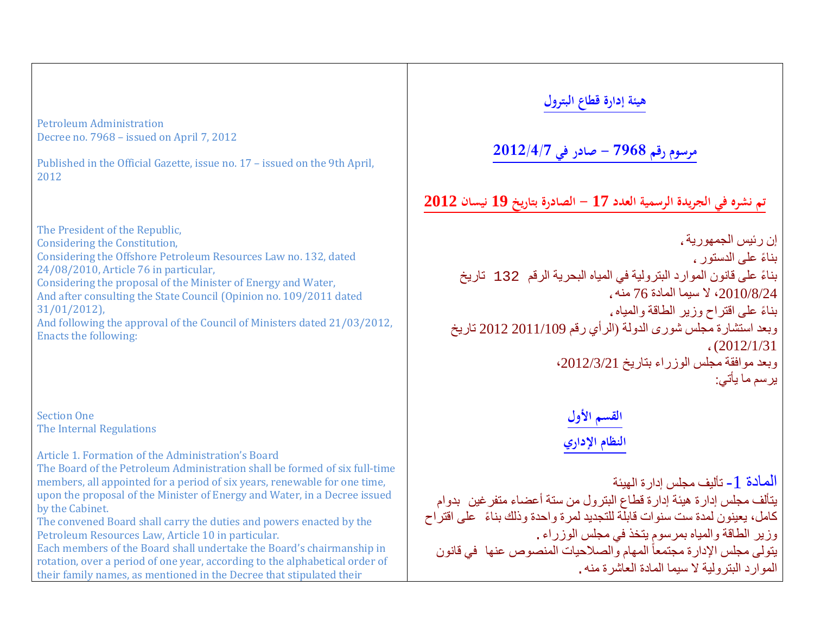Petroleum Administration Decree no. 7968 – issued on April 7, 2012

Published in the Official Gazette, issue no. 17 – issued on the 9th April, 2012

The President of the Republic, Considering the Constitution, Considering the Offshore Petroleum Resources Law no. 132, dated 24/08/2010, Article 76 in particular, Considering the proposal of the Minister of Energy and Water, And after consulting the State Council (Opinion no. 109/2011 dated 31/01/2012), And following the approval of the Council of Ministers dated 21/03/2012, Enacts the following:

Section One The Internal Regulations

Article 1. Formation of the Administration's Board

The Board of the Petroleum Administration shall be formed of six full-time members, all appointed for a period of six years, renewable for one time, upon the proposal of the Minister of Energy and Water, in a Decree issued by the Cabinet.

The convened Board shall carry the duties and powers enacted by the Petroleum Resources Law, Article 10 in particular.

Each members of the Board shall undertake the Board's chairmanship in rotation, over a period of one year, according to the alphabetical order of their family names, as mentioned in the Decree that stipulated their

# **هيئة إدارة قطاع البترول**

# **مرسوم رقم 7968 - صادر في 2012/4/7**

# **تم نشره في الجريدة الرسمية العدد 17 - الصادرة بتاريخ 19 نيسان 2012**

إن رئیس الجمھوریة، ً بناء على الدستور، ً بناء على قانون الموارد البترولیة في المیاه البحریة الرقم 132 تاریخ ،2010/8/24 لا سیما المادة 76 منھ، ً بناء على اقتراح وزیر الطاقة والمیاه، وبعد استشارة مجلس شورى الدولة (الرأي رقم 2011/109 2012 تاریخ ،(2012/1/31 وبعد موافقة مجلس الوزراء بتاریخ ،2012/3/21 یرسم ما یأتي:

> **القسم الأول النظام الإداري**

المادة -1 تألیف مجلس إدارة الھیئة یتألف مجلس إدارة ھیئة إدارة قطاع البترول من ستة أعضاء متفرغین بدوام ً كامل، یعینون لمدة ست سنوات قابلة للتجدید لمرة واحدة وذلك بناء على اقتراح وزیر الطاقة والمیاه بمرسوم یتخذ في مجلس الوزراء. یتولی مجلس الإدارة مجتمعاً المهام والصلاحیات المنصوص عنها ً في قانون الموارد البترولیة لا سیما المادة العاشرة منھ.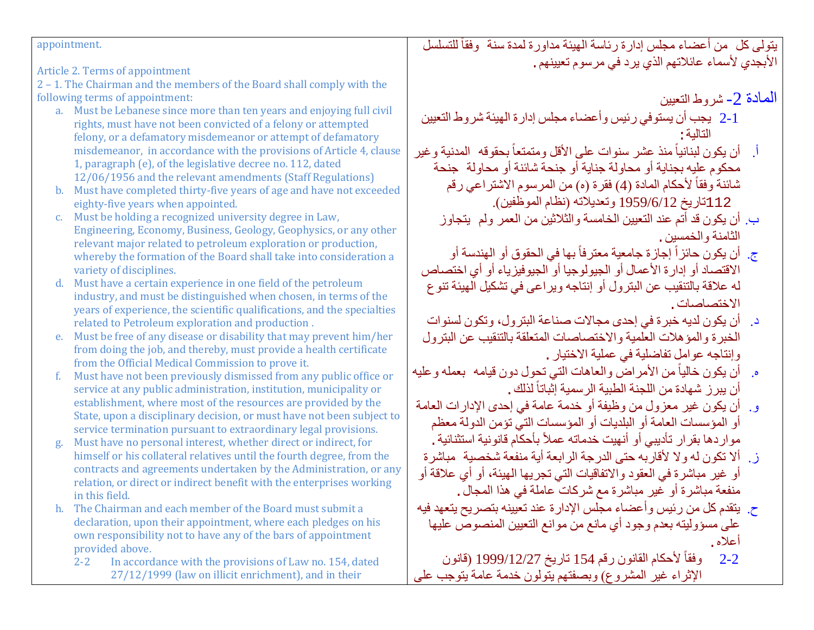appointment.

Article 2. Terms of appointment

2 – 1. The Chairman and the members of the Board shall comply with the following terms of appointment:

- a. Must be Lebanese since more than ten years and enjoying full civil rights, must have not been convicted of a felony or attempted felony, or a defamatory misdemeanor or attempt of defamatory misdemeanor, in accordance with the provisions of Article 4, clause 1, paragraph (e), of the legislative decree no. 112, dated 12/06/1956 and the relevant amendments (Staff Regulations)
- b. Must have completed thirty-five years of age and have not exceeded eighty-five years when appointed.
- c. Must be holding a recognized university degree in Law, Engineering, Economy, Business, Geology, Geophysics, or any other relevant major related to petroleum exploration or production, whereby the formation of the Board shall take into consideration a variety of disciplines.
- d. Must have a certain experience in one field of the petroleum industry, and must be distinguished when chosen, in terms of the years of experience, the scientific qualifications, and the specialties related to Petroleum exploration and production .
- e. Must be free of any disease or disability that may prevent him/her from doing the job, and thereby, must provide a health certificate from the Official Medical Commission to prove it.
- f. Must have not been previously dismissed from any public office or service at any public administration, institution, municipality or establishment, where most of the resources are provided by the State, upon a disciplinary decision, or must have not been subject to service termination pursuant to extraordinary legal provisions.
- Must have no personal interest, whether direct or indirect, for himself or his collateral relatives until the fourth degree, from the contracts and agreements undertaken by the Administration, or any relation, or direct or indirect benefit with the enterprises working in this field.
- h. The Chairman and each member of the Board must submit a declaration, upon their appointment, where each pledges on his own responsibility not to have any of the bars of appointment provided above.<br>2-2 In accord
	- In accordance with the provisions of Law no. 154, dated 27/12/1999 (law on illicit enrichment), and in their

يتولى كل من أعضاء مجلس إدارة رئاسة الهيئة مداورة لمدة سنة وفقاً للتسلسل الأبجدي لأسماء عائلاتھم الذي یرد في مرسوم تعیینھم.

المعادة 2- شروط التعبین

- 2-1 یجب أن یستوفي رئیس وأعضاء مجلس إدارة الھیئة شروط التعیین التالیة:
- أ أن يكون لبنانياً منذ عشر سنوات على الأقل ومتمتعاً بحقوقه المدنية وغير محكوم علیھ بجنایة أو محاولة جنایة أو جنحة شائنة أو محاولة جنحة شائنة وفقاً لأحكام المادة (4) فقرة (ه) من المرسوم الاشتراعي رقم 112تاریخ 1959/6/12 وتعدیلاتھ (نظام الموظفین).
	- ب. أن یكون قد أتم عند التعیین الخامسة والثلاثین من العمر ولم یتجاوز الثامنة والخمسین.
	- ج. أن يكون حائز أ إجازة جامعية معترفاً بها في الحقوق أو الهندسة أو الاقتصاد أو إدارة الأعمال أو الجیولوجیا أو الجیوفیزیاء أو أي اختصاص لھ علاقة بالتنقیب عن البترول أو إنتاجھ ویراعى في تشكیل الھیئة تنوع الاختصاصات.
	- د. أن یكون لدیھ خبرة في إحدى مجالات صناعة البترول، وتكون لسنوات الخبرة والمؤھلات العلمیة والاختصاصات المتعلقة بالتنقیب عن البترول وإنتاجھ عوامل تفاضلیة في عملیة الاختیار.
- ه ٍ أن یكون خالیاً من الأمراض والعاهات التي تحول دون قیامه ۖ بعمله وعلیه أن يبر ز شهادة من اللجنة الطبية الر سمية إثباتاً لذلك ـ
- و. أن یكون غیر معزول من وظیفة أو خدمة عامة في إحدى الإدارات العامة أو المؤسسات العامة أو البلدیات أو المؤسسات التي تؤمن الدولة معظم مواردها بقرار تأديبي أو أنهيت خدماته عملاً بأحكام قانونية استثنائية .
- ز. ألا تكون لھ ولا لأقاربھ حتى الدرجة الرابعة أیة منفعة شخصیة مباشرة أو غیر مباشرة في العقود والاتفاقیات التي تجریھا الھیئة، أو أي علاقة أو منفعة مباشرة أو غیر مباشرة مع شركات عاملة في ھذا المجال.
- ح. یتقدم كل من رئیس وأعضاء مجلس الإدارة عند تعیینھ بتصریح یتعھد فیھ على مسؤولیتھ بعدم وجود أي مانع من موانع التعیین المنصوص علیھا أعلاه.
- ً لأحكام القانون رقم 154 تاریخ 1999/12/27 (قانون  $2 - 2$ الإثراء غیر المشروع) وبصفتھم یتولون خدمة عامة یتوجب على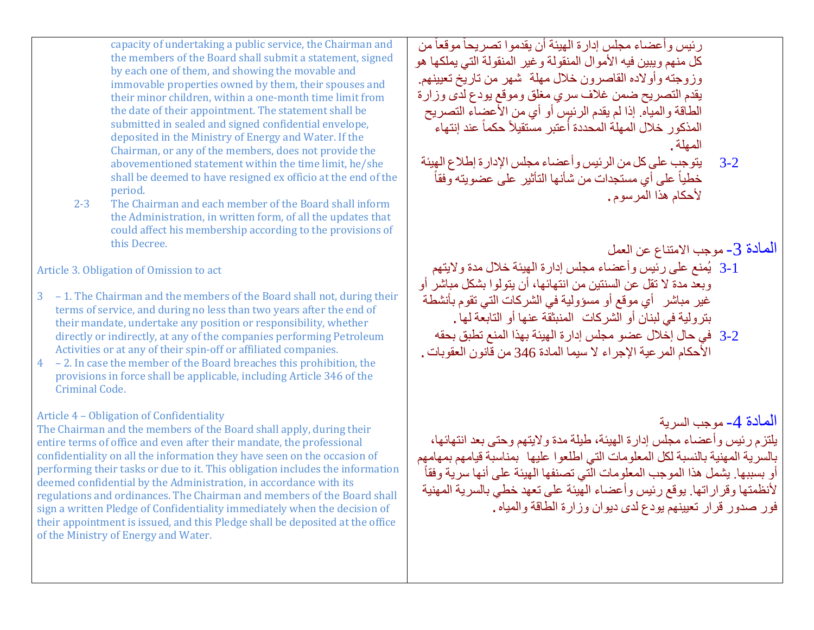capacity of undertaking a public service, the Chairman and the members of the Board shall submit a statement, signed by each one of them, and showing the movable and immovable properties owned by them, their spouses and their minor children, within a one-month time limit from the date of their appointment. The statement shall be submitted in sealed and signed confidential envelope, deposited in the Ministry of Energy and Water. If the Chairman, or any of the members, does not provide the abovementioned statement within the time limit, he/she shall be deemed to have resigned ex officio at the end of the period.

2-3 The Chairman and each member of the Board shall inform the Administration, in written form, of all the updates that could affect his membership according to the provisions of this Decree.

Article 3. Obligation of Omission to act

- 3 1. The Chairman and the members of the Board shall not, during their terms of service, and during no less than two years after the end of their mandate, undertake any position or responsibility, whether directly or indirectly, at any of the companies performing Petroleum Activities or at any of their spin-off or affiliated companies.
- 4 2. In case the member of the Board breaches this prohibition, the provisions in force shall be applicable, including Article 346 of the Criminal Code.

# Article 4 – Obligation of Confidentiality

The Chairman and the members of the Board shall apply, during their entire terms of office and even after their mandate, the professional confidentiality on all the information they have seen on the occasion of performing their tasks or due to it. This obligation includes the information deemed confidential by the Administration, in accordance with its regulations and ordinances. The Chairman and members of the Board shall sign a written Pledge of Confidentiality immediately when the decision of their appointment is issued, and this Pledge shall be deposited at the office of the Ministry of Energy and Water.

رئيس وأعضاء مجلس إدارة الهيئة أن يقدموا تصريحاً موقعاً من كل منھم ویبین فیھ الأموال المنقولة وغیر المنقولة التي یملكھا ھو وزوجتھ وأولاده القاصرون خلال مھلة شھر من تاریخ تعیینھم. یقدم التصریح ضمن غلاف سري مغلق وموقع یودع لدى وزارة الطاقة والمیاه. إذا لم یقدم الرئیس أو أي من الأعضاء التصریح المذكور خلال المهلة المحددة أعتبر مستقيلاً حكماً عند إنتهاء ً المھلة.

3-2 یتوجب على كل من الرئیس وأعضاء مجلس الإدارة إطلاع الھیئة خطياً على أي مستجدات من شأنها التأثير على عضويته وفقاً لأحكام ھذا المرسوم.

المادة 3- موجب الامتناع عن العمل 3-1 یُمنع على رئیس وأعضاء مجلس إدارة الھیئة خلال مدة ولایتھم وبعد مدة لا تقل عن السنتین من انتھائھا، أن یتولوا بشكل مباشر أو غیر مباشر أي موقع أو مسؤولیة في الشركات التي تقوم بأنشطة بترولیة في لبنان أو الشركات المنبثقة عنھا أو التابعة لھا. 3-2 في حال إخلال عضو مجلس إدارة الھیئة بھذا المنع تطبق بحقھ الأحكام المرعیة الإجراء لا سیما المادة 346 من قانون العقوبات.

المادة 4- موجب السرية يلتزم رئيس وأعضـاء مجلس إدارة الـهيئة، طيلة مدة ولايتـهم وحتى بـعد انتـهائـها،<br>بـالسر يـة المـهنيـة بـالنسبـة لكل المعلومـات التـي اطلعو ا عليـها بمنـاسبـة قيـامـهم بمـهـامـهم بالسرية المهنية بالنسبة لكل المعلومات التي اطلعوا عليها بمناسبة قيامهم بمهامهم<br>أو بسببها. يشمل هذا الموجب المعلومات التي تصنفها الهيئة على أنها سرية وفقاً لأنظمتھا وقراراتھا. یوقع رئیس وأعضاء الھیئة على تعھد خطي بالسریة المھنیة فور صدور قرار تعیینھم یودع لدى دیوان وزارة الطاقة والمیاه.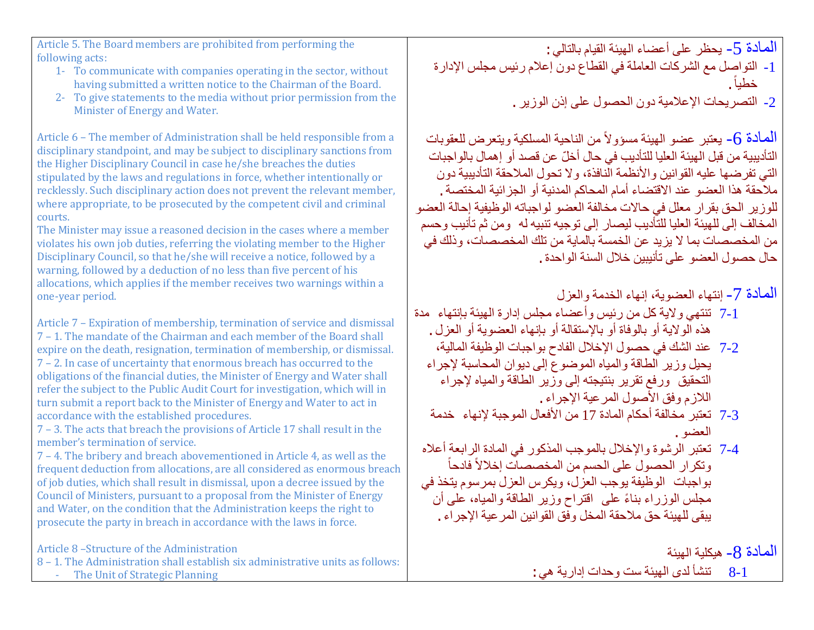Article 5. The Board members are prohibited from performing the following acts:

- 1- To communicate with companies operating in the sector, without having submitted a written notice to the Chairman of the Board.
- 2- To give statements to the media without prior permission from the Minister of Energy and Water.

Article 6 – The member of Administration shall be held responsible from a disciplinary standpoint, and may be subject to disciplinary sanctions from the Higher Disciplinary Council in case he/she breaches the duties stipulated by the laws and regulations in force, whether intentionally or recklessly. Such disciplinary action does not prevent the relevant member, where appropriate, to be prosecuted by the competent civil and criminal courts.

The Minister may issue a reasoned decision in the cases where a member violates his own job duties, referring the violating member to the Higher Disciplinary Council, so that he/she will receive a notice, followed by a warning, followed by a deduction of no less than five percent of his allocations, which applies if the member receives two warnings within a one-year period.

Article 7 – Expiration of membership, termination of service and dismissal 7 – 1. The mandate of the Chairman and each member of the Board shall expire on the death, resignation, termination of membership, or dismissal. 7 – 2. In case of uncertainty that enormous breach has occurred to the obligations of the financial duties, the Minister of Energy and Water shall refer the subject to the Public Audit Court for investigation, which will in turn submit a report back to the Minister of Energy and Water to act in accordance with the established procedures.

7 – 3. The acts that breach the provisions of Article 17 shall result in the member's termination of service.

7 – 4. The bribery and breach abovementioned in Article 4, as well as the frequent deduction from allocations, are all considered as enormous breach of job duties, which shall result in dismissal, upon a decree issued by the Council of Ministers, pursuant to a proposal from the Minister of Energy and Water, on the condition that the Administration keeps the right to prosecute the party in breach in accordance with the laws in force.

Article 8 –Structure of the Administration

8 – 1. The Administration shall establish six administrative units as follows: - The Unit of Strategic Planning

المادة 5- یحظر على أعضاء الهيئة القيام بالتالي:

- -1 التواصل مع الشركات العاملة في القطاع دون إعلام رئیس مجلس الإدارة خطیا. ً
	- -2 التصریحات الإعلامیة دون الحصول على إذن الوزیر.

الممادة 6- يعتبر عضو الهيئة مسؤولاً من الناحية المسلكية ويتعرض للعقوبات ّ التأدیبیة من قبل الھیئة العلیا للتأدیب في حال أخل عن قصد أو إھمال بالواجبات التي تفرضھا علیھ القوانین والأنظمة النافذة، ولا تحول الملاحقة التأدیبیة دون ملاحقة ھذا العضو عند الاقتضاء أمام المحاكم المدنیة أو الجزائیة المختصة. للوزیر الحق بقرار معلل في حالات مخالفة العضو لواجباتھ الوظیفیة إحالة العضو المخالف إلى للھیئة العلیا للتأدیب لیصار إلى توجیھ تنبیھ لھ ومن ثم تأنیب وحسم من المخصصات بما لا یزید عن الخمسة بالمایة من تلك المخصصات، وذلك في حال حصول العضو على تأنیبین خلال السنة الواحدة.

المادة -7 إنتھاء العضویة، إنھاء الخدمة والعزل

- 7-1 تنتھي ولایة كل من رئیس وأعضاء مجلس إدارة الھیئة بإنتھاء مدة ھذه الولایة أو بالوفاة أو بالإستقالة أو بإنھاء العضویة أو العزل.
	- 7-2 عند الشك في حصول الإخلال الفادح بواجبات الوظیفة المالیة، یحیل وزیر الطاقة والمیاه الموضوع إلى دیوان المحاسبة لإجراء التحقیق ورفع تقریر بنتیجتھ إلى وزیر الطاقة والمیاه لإجراء اللازم وفق الأصول المرعیة الإجراء.
	- 7-3 تعتبر مخالفة أحكام المادة 17 من الأفعال الموجبة لإنھاء خدمة العضو.
- ً 7-4 تعتبر الرشوة والإخلال بالموجب المذكور في المادة الرابعة أعلاه وتكرار الحصول على الحسم من المخصصات إخلالاً فادحاً بواجبات الوظیفة یوجب العزل، ویكرس العزل بمرسوم یتخذ في ً مجلس الوزراء بناء على اقتراح وزیر الطاقة والمیاه، على أن یبقى للھیئة حق ملاحقة المخل وفق القوانین المرعیة الإجراء.

الممادة R- هیكلیة الهیئة

8-1 تنشأ لدى الھیئة ست وحدات إداریة ھي: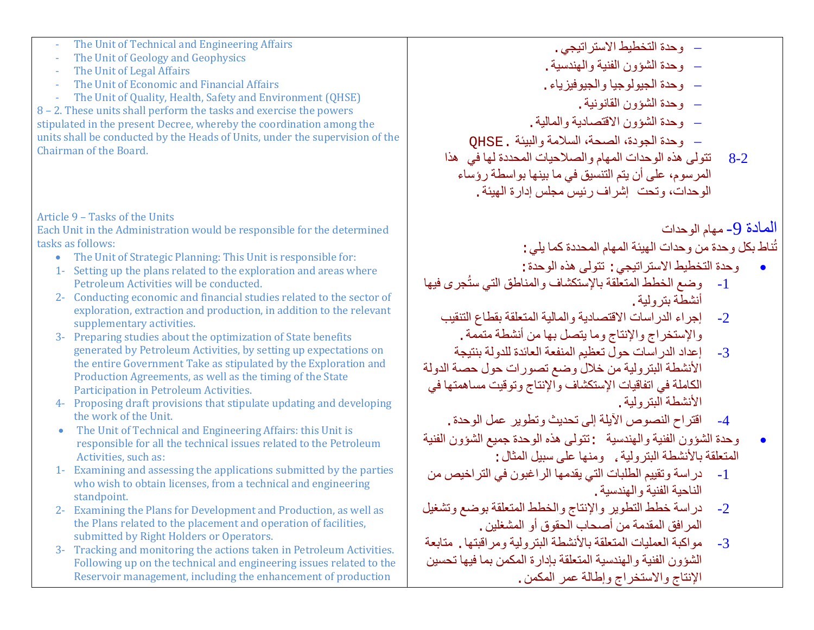- The Unit of Technical and Engineering Affairs
- The Unit of Geology and Geophysics
- The Unit of Legal Affairs
- The Unit of Economic and Financial Affairs
- The Unit of Quality, Health, Safety and Environment (QHSE)

8 – 2. These units shall perform the tasks and exercise the powers stipulated in the present Decree, whereby the coordination among the units shall be conducted by the Heads of Units, under the supervision of the Chairman of the Board.

## Article 9 – Tasks of the Units

Each Unit in the Administration would be responsible for the determined tasks as follows:

- The Unit of Strategic Planning: This Unit is responsible for:
- 1- Setting up the plans related to the exploration and areas where Petroleum Activities will be conducted.
- 2- Conducting economic and financial studies related to the sector of exploration, extraction and production, in addition to the relevant supplementary activities.
- 3- Preparing studies about the optimization of State benefits generated by Petroleum Activities, by setting up expectations on the entire Government Take as stipulated by the Exploration and Production Agreements, as well as the timing of the State Participation in Petroleum Activities.
- 4- Proposing draft provisions that stipulate updating and developing the work of the Unit.
- The Unit of Technical and Engineering Affairs: this Unit is responsible for all the technical issues related to the Petroleum Activities, such as:
- 1- Examining and assessing the applications submitted by the parties who wish to obtain licenses, from a technical and engineering standpoint.
- 2- Examining the Plans for Development and Production, as well as the Plans related to the placement and operation of facilities, submitted by Right Holders or Operators.
- 3- Tracking and monitoring the actions taken in Petroleum Activities. Following up on the technical and engineering issues related to the Reservoir management, including the enhancement of production
- − وحدة التخطیط الاستراتیجي.
- − وحدة الشؤون الفنیة والھندسیة.
- − وحدة الجیولوجیا والجیوفیزیاء.
	- − وحدة الشؤون القانونیة.
- − وحدة الشؤون الاقتصادیة والمالیة.
- − وحدة الجودة، الصحة، السلامة والبیئة .QHSE
- 8-2 تتولى ھذه الوحدات المھام والصلاحیات المحددة لھا في ھذا المرسوم، على أن یتم التنسیق في ما بینھا بواسطة رؤساء الوحدات، وتحت إشراف رئیس مجلس إدارة الھیئة.

# المادة 9- مهام الوحدات

ُناط بكل وحدة من وحدات الھیئة المھام المحددة كما یلي: ت

- وحدة التخطیط الاستراتیجي: تتولى ھذه الوحدة:
- 1- وضع الخطط المتعلقة بالإستكشاف والمناطق التي ستُجرى فيها أنشطة بترولیة.
	- -2 إجراء الدراسات الاقتصادیة والمالیة المتعلقة بقطاع التنقیب والإستخراج والإنتاج وما یتصل بھا من أنشطة متممة.
- -3 إعداد الدراسات حول تعظیم المنفعة العائدة للدولة بنتیجة الأنشطة البترولیة من خلال وضع تصورات حول حصة الدولة الكاملة في اتفاقیات الإستكشاف والإنتاج وتوقیت مساھمتھا في الأنشطة البتر ولية
	- -4 اقتراح النصوص الآیلة إلى تحدیث وتطویر عمل الوحدة.
- وحدة الشؤون الفنیة والھندسیة :تتولى ھذه الوحدة جمیع الشؤون الفنیة المتعلقة بالأنشطة البترولیة ، ومنها على سبیل المثال :<br>1- در اسة وتقبیم الطلبات التي بقدمها الر اغبون في
- -1 دراسة وتقییم الطلبات التي یقدمھا الراغبون في التراخیص من الناحیة الفنیة والھندسیة.
- -2 دراسة خطط التطویر والإنتاج والخطط المتعلقة بوضع وتشغیل المرافق المقدمة من أصحاب الحقوق أو المشغلین.
- -3 مواكبة العملیات المتعلقة بالأنشطة البترولیة ومراقبتھا. متابعة الشؤون الفنیة والھندسیة المتعلقة بإدارة المكمن بما فیھا تحسین الإنتاج والاستخراج وإطالة عمر المكمن.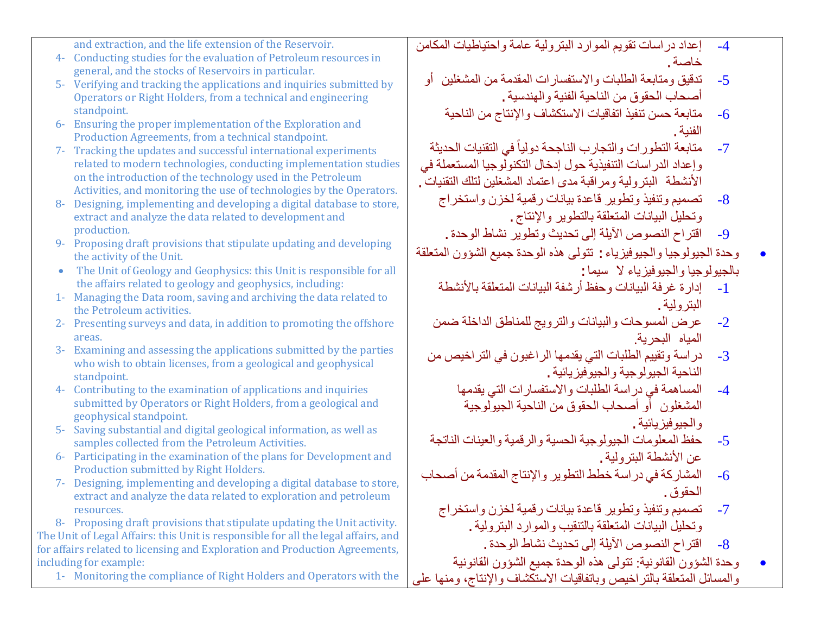and extraction, and the life extension of the Reservoir.

- 4- Conducting studies for the evaluation of Petroleum resources in general, and the stocks of Reservoirs in particular.
- 5- Verifying and tracking the applications and inquiries submitted by Operators or Right Holders, from a technical and engineering standpoint.
- 6- Ensuring the proper implementation of the Exploration and Production Agreements, from a technical standpoint.
- 7- Tracking the updates and successful international experiments related to modern technologies, conducting implementation studies on the introduction of the technology used in the Petroleum Activities, and monitoring the use of technologies by the Operators.
- 8- Designing, implementing and developing a digital database to store, extract and analyze the data related to development and production.
- 9- Proposing draft provisions that stipulate updating and developing the activity of the Unit.
- The Unit of Geology and Geophysics: this Unit is responsible for all the affairs related to geology and geophysics, including:
- 1- Managing the Data room, saving and archiving the data related to the Petroleum activities.
- 2- Presenting surveys and data, in addition to promoting the offshore areas.
- 3- Examining and assessing the applications submitted by the parties who wish to obtain licenses, from a geological and geophysical standpoint.
- 4- Contributing to the examination of applications and inquiries submitted by Operators or Right Holders, from a geological and geophysical standpoint.
- 5- Saving substantial and digital geological information, as well as samples collected from the Petroleum Activities.
- 6- Participating in the examination of the plans for Development and Production submitted by Right Holders.
- 7- Designing, implementing and developing a digital database to store, extract and analyze the data related to exploration and petroleum resources.

8- Proposing draft provisions that stipulate updating the Unit activity. The Unit of Legal Affairs: this Unit is responsible for all the legal affairs, and for affairs related to licensing and Exploration and Production Agreements, including for example:

1- Monitoring the compliance of Right Holders and Operators with the

- -4 إعداد دراسات تقویم الموارد البترولیة عامة واحتیاطیات المكامن خاصة.
	- -5 تدقیق ومتابعة الطلبات والاستفسارات المقدمة من المشغلین أو أصحاب الحقوق من الناحیة الفنیة والھندسیة.
		- -6 متابعة حسن تنفیذ اتفاقیات الاستكشاف والإنتاج من الناحیة الفنیة.
- 7- متابعة التطورات والتجارب الناجحة دولياً في التقنيات الحديثة وإعداد الدراسات التنفیذیة حول إدخال التكنولوجیا المستعملة في الأنشطة البتر ولیة ومراقبة مدى اعتماد المشغلین لتلك التقنیات .
	- -8 تصمیم وتنفیذ وتطویر قاعدة بیانات رقمیة لخزن واستخراج وتحلیل البیانات المتعلقة بالتطویر والإنتاج.
		- -9 اقتراح النصوص الآیلة إلى تحدیث وتطویر نشاط الوحدة.
- وحدة الجیولوجیا والجیوفیزیاء: تتولى ھذه الوحدة جمیع الشؤون المتعلقة بالجیولوجیا والجیوفیزیاء لا سیما:
	- -1 إدارة غرفة البیانات وحفظ أرشفة البیانات المتعلقة بالأنشطة البترولیة.
	- -2 عرض المسوحات والبیانات والترویج للمناطق الداخلة ضمن المیاه البحریة.
	- -3 دراسة وتقییم الطلبات التي یقدمھا الراغبون في التراخیص من الناحیة الجیولوجیة والجیوفیزیائیة.
		- -4 المساھمة في دراسة الطلبات والاستفسارات التي یقدمھا المشغلون أو أصحاب الحقوق من الناحیة الجیولوجیة والجیوفیزیائیة.
	- -5 حفظ المعلومات الجیولوجیة الحسیة والرقمیة والعینات الناتجة عن الأنشطة البترولیة.
- -6 المشاركة في دراسة خطط التطویر والإنتاج المقدمة من أصحاب الحقوق.
	- -7 تصمیم وتنفیذ وتطویر قاعدة بیانات رقمیة لخزن واستخراج وتحلیل البیانات المتعلقة بالتنقیب والموارد البترولیة.
		- -8 اقتراح النصوص الآیلة إلى تحدیث نشاط الوحدة.
- وحدة الشؤون القانونیة: تتولى ھذه الوحدة جمیع الشؤون القانونیة والمسائل المتعلقة بالتراخیص وباتفاقیات الاستكشاف والإنتاج، ومنھا على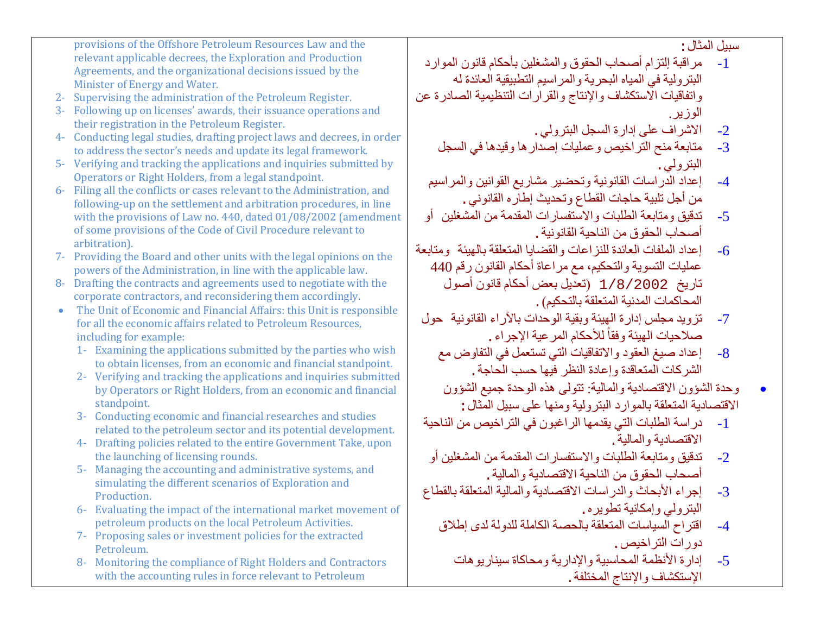provisions of the Offshore Petroleum Resources Law and the relevant applicable decrees, the Exploration and Production Agreements, and the organizational decisions issued by the Minister of Energy and Water. 2- Supervising the administration of the Petroleum Register. 3- Following up on licenses' awards, their issuance operations and their registration in the Petroleum Register. 4- Conducting legal studies, drafting project laws and decrees, in order to address the sector's needs and update its legal framework. 5- Verifying and tracking the applications and inquiries submitted by Operators or Right Holders, from a legal standpoint. 6- Filing all the conflicts or cases relevant to the Administration, and following-up on the settlement and arbitration procedures, in line with the provisions of Law no. 440, dated 01/08/2002 (amendment of some provisions of the Code of Civil Procedure relevant to arbitration). 7- Providing the Board and other units with the legal opinions on the powers of the Administration, in line with the applicable law. 8- Drafting the contracts and agreements used to negotiate with the corporate contractors, and reconsidering them accordingly. • The Unit of Economic and Financial Affairs: this Unit is responsible for all the economic affairs related to Petroleum Resources, including for example: 1- Examining the applications submitted by the parties who wish to obtain licenses, from an economic and financial standpoint. 2- Verifying and tracking the applications and inquiries submitted by Operators or Right Holders, from an economic and financial standpoint. 3- Conducting economic and financial researches and studies related to the petroleum sector and its potential development. 4- Drafting policies related to the entire Government Take, upon the launching of licensing rounds. 5- Managing the accounting and administrative systems, and simulating the different scenarios of Exploration and Production. 6- Evaluating the impact of the international market movement of petroleum products on the local Petroleum Activities. 7- Proposing sales or investment policies for the extracted Petroleum. سبیل المثال: -1 مراقبة إلتزام أصحاب الحقوق والمشغلین بأحكام قانون الموارد البترولیة في المیاه البحریة والمراسیم التطبیقیة العائدة لھ واتفاقیات الاستكشاف والإنتاج والقرارات التنظیمیة الصادرة عن الوزیر. -2 الاشراف على إدارة السجل البترولي. -3 متابعة منح التراخیص وعملیات إصدارھا وقیدھا في السجل البترولي. -4 إعداد الدراسات القانونیة وتحضیر مشاریع القوانین والمراسیم من أجل تلبیة حاجات القطاع وتحدیث إطاره القانوني. -5 تدقیق ومتابعة الطلبات والاستفسارات المقدمة من المشغلین أو أصحاب الحقوق من الناحیة القانونیة. -6 إعداد الملفات العائدة للنزاعات والقضایا المتعلقة بالھیئة ومتابعة عملیات التسویة والتحكیم، مع مراعاة أحكام القانون رقم 440 تاریخ 1/8/2002 (تعدیل بعض أحكام قانون أصول المحاكمات المدنیة المتعلقة بالتحكیم). -7 تزوید مجلس إدارة الھیئة وبقیة الوحدات بالآراء القانونیة حول صلاحیات الهیئة و فقاً للأحكام المر عیة الإجر اء . -8 إعداد صیغ العقود والاتفاقیات التي تستعمل في التفاوض مع الشركات المتعاقدة وإعادة النظر فیھا حسب الحاجة. • وحدة الشؤون الاقتصادیة والمالیة: تتولى ھذه الوحدة جمیع الشؤون الاقتصادیة المتعلقة بالموارد البترولیة ومنها على سبیل المثال :<br>1- در اسة الطلبات التي يقدمها الر اغبون في التر اخبص من -1 دراسة الطلبات التي یقدمھا الراغبون في التراخیص من الناحیة الاقتصادیة والمالیة. -2 تدقیق ومتابعة الطلبات والاستفسارات المقدمة من المشغلین أو أصحاب الحقوق من الناحیة الاقتصادیة والمالیة. -3 إجراء الأبحاث والدراسات الاقتصادیة والمالیة المتعلقة بالقطاع البترولي وإمكانیة تطویره. -4 اقتراح السیاسات المتعلقة بالحصة الكاملة للدولة لدى إطلاق دورات التراخیص. -5 إدارة الأنظمة المحاسبیة والإداریة ومحاكاة سیناریوھات

الإستكشاف والإنتاج المختلفة.

8- Monitoring the compliance of Right Holders and Contractors with the accounting rules in force relevant to Petroleum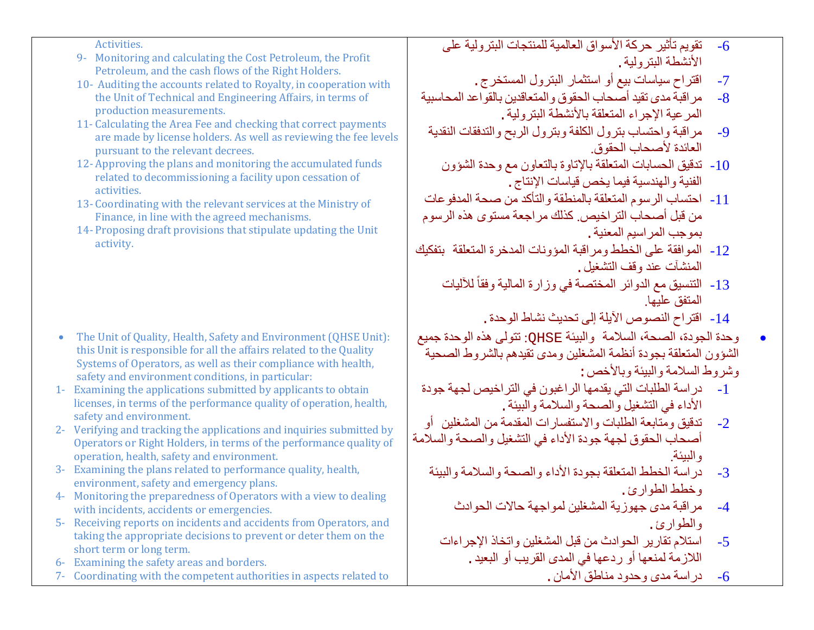Activities.

- 9- Monitoring and calculating the Cost Petroleum, the Profit Petroleum, and the cash flows of the Right Holders.
- 10- Auditing the accounts related to Royalty, in cooperation with the Unit of Technical and Engineering Affairs, in terms of production measurements.
- 11- Calculating the Area Fee and checking that correct payments are made by license holders. As well as reviewing the fee levels pursuant to the relevant decrees.
- 12- Approving the plans and monitoring the accumulated funds related to decommissioning a facility upon cessation of activities.
- 13- Coordinating with the relevant services at the Ministry of Finance, in line with the agreed mechanisms.
- 14- Proposing draft provisions that stipulate updating the Unit activity.

- The Unit of Quality, Health, Safety and Environment (QHSE Unit): this Unit is responsible for all the affairs related to the Quality Systems of Operators, as well as their compliance with health, safety and environment conditions, in particular:
- 1- Examining the applications submitted by applicants to obtain licenses, in terms of the performance quality of operation, health, safety and environment.
- 2- Verifying and tracking the applications and inquiries submitted by Operators or Right Holders, in terms of the performance quality of operation, health, safety and environment.
- 3- Examining the plans related to performance quality, health, environment, safety and emergency plans.
- 4- Monitoring the preparedness of Operators with a view to dealing with incidents, accidents or emergencies.
- 5- Receiving reports on incidents and accidents from Operators, and taking the appropriate decisions to prevent or deter them on the short term or long term.
- 6- Examining the safety areas and borders.
- 7- Coordinating with the competent authorities in aspects related to
- -6 تقویم تأثیر حركة الأسواق العالمیة للمنتجات البترولیة على الأنشطة البترولیة.
	- 7- اقتراح سياسات بيع أو استثمار البترول المستخرج .<br>8- مر اقبة مدى تقد أصحاب الحقوق و المتعاقدين بالقو اع
- -8 مراقبة مدى تقید أصحاب الحقوق والمتعاقدین بالقواعد المحاسبیة المرعیة الإجراء المتعلقة بالأنشطة البترولیة.
- -9 مراقبة واحتساب بترول الكلفة وبترول الربح والتدفقات النقدیة العائدة لأصحاب الحقوق.
	- -10 تدقیق الحسابات المتعلقة بالإتاوة بالتعاون مع وحدة الشؤون الفنیة والھندسیة فیما یخص قیاسات الإنتاج.
- -11 احتساب الرسوم المتعلقة بالمنطقة والتأكد من صحة المدفوعات من قبل أصحاب التراخیص. كذلك مراجعة مستوى ھذه الرسوم بموجب المراسیم المعنیة.
- -12 الموافقة على الخطط ومراقبة المؤونات المدخرة المتعلقة بتفكیك المنشآت عند وقف التشغیل.
	- 13- التنسيق مع الدوائر المختصة في وزارة المالية وفقاً للأليات المتفق علیھا.
		- -14 اقتراح النصوص الآیلة إلى تحدیث نشاط الوحدة.
- وحدة الجودة، الصحة، السلامة والبیئة QHSE: تتولى ھذه الوحدة جمیع الشؤون المتعلقة بجودة أنظمة المشغلین ومدى تقیدھم بالشروط الصحیة وشروط السلامة والبیئة وبالأخص:
- -1 دراسة الطلبات التي یقدمھا الراغبون في التراخیص لجھة جودة الأداء في التشغیل والصحة والسلامة والبیئة.
- -2 تدقیق ومتابعة الطلبات والاستفسارات المقدمة من المشغلین أو أصحاب الحقوق لجھة جودة الأداء في التشغیل والصحة والسلامة والبیئة.
	- -3 دراسة الخطط المتعلقة بجودة الأداء والصحة والسلامة والبیئة وخطط الطوارئ.
		- -4 مراقبة مدى جھوزیة المشغلین لمواجھة حالات الحوادث والطوارئ.
		- -5 استلام تقاریر الحوادث من قبل المشغلین واتخاذ الإجراءات اللازمة لمنعھا أو ردعھا في المدى القریب أو البعید.
			- -6 دراسة مدى وحدود مناطق الأمان.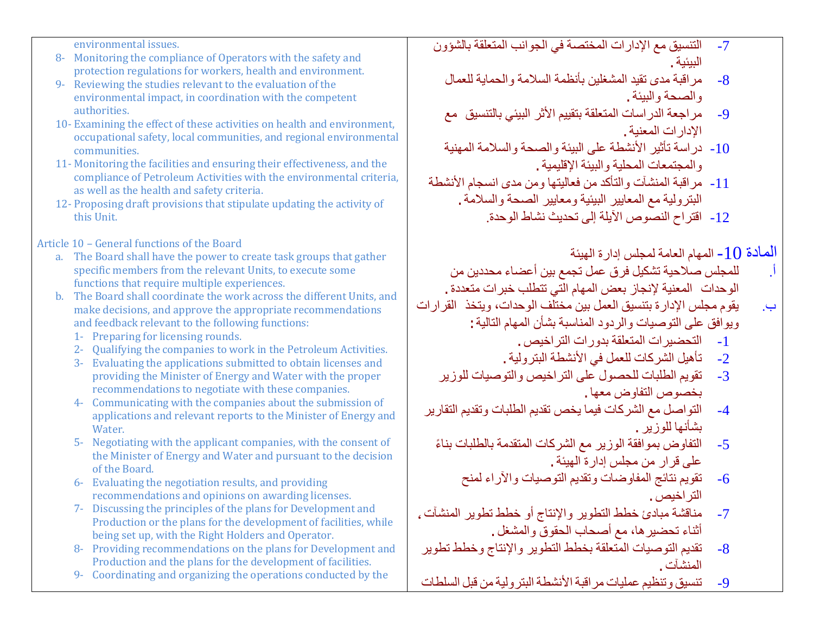environmental issues.

- 8- Monitoring the compliance of Operators with the safety and protection regulations for workers, health and environment.
- 9- Reviewing the studies relevant to the evaluation of the environmental impact, in coordination with the competent authorities.
- 10- Examining the effect of these activities on health and environment, occupational safety, local communities, and regional environmental communities.
- 11- Monitoring the facilities and ensuring their effectiveness, and the compliance of Petroleum Activities with the environmental criteria, as well as the health and safety criteria.
- 12- Proposing draft provisions that stipulate updating the activity of this Unit.

Article 10 – General functions of the Board

- a. The Board shall have the power to create task groups that gather specific members from the relevant Units, to execute some functions that require multiple experiences.
- b. The Board shall coordinate the work across the different Units, and make decisions, and approve the appropriate recommendations and feedback relevant to the following functions:
	- 1- Preparing for licensing rounds.
	- 2- Qualifying the companies to work in the Petroleum Activities.
	- 3- Evaluating the applications submitted to obtain licenses and providing the Minister of Energy and Water with the proper recommendations to negotiate with these companies.
	- 4- Communicating with the companies about the submission of applications and relevant reports to the Minister of Energy and Water.
	- 5- Negotiating with the applicant companies, with the consent of the Minister of Energy and Water and pursuant to the decision of the Board.
	- 6- Evaluating the negotiation results, and providing recommendations and opinions on awarding licenses.
	- 7- Discussing the principles of the plans for Development and Production or the plans for the development of facilities, while being set up, with the Right Holders and Operator.
	- 8- Providing recommendations on the plans for Development and Production and the plans for the development of facilities.
	- 9- Coordinating and organizing the operations conducted by the
- -7 التنسیق مع الإدارات المختصة في الجوانب المتعلقة بالشؤون البیئیة.
	- -8 مراقبة مدى تقید المشغلین بأنظمة السلامة والحمایة للعمال والصحة والبیئة.
	- -9 مراجعة الدراسات المتعلقة بتقییم الأثر البیئي بالتنسیق مع الإدارات المعنیة.
	- -10 دراسة تأثیر الأنشطة على البیئة والصحة والسلامة المھنیة والمجتمعات المحلیة والبیئة الإقلیمیة.
- -11 مراقبة المنشآت والتأكد من فعالیتھا ومن مدى انسجام الأنشطة البترولیة مع المعاییر البیئیة ومعاییر الصحة والسلامة.
	- -12 اقتراح النصوص الآیلة إلى تحدیث نشاط الوحدة.

المادة 10 - المهام العامة لمجلس إدارة الهيئة

- أ. للمجلس صلاحیة تشكیل فرق عمل تجمع بین أعضاء محددین من
- الوحدات المعنية لإنجاز بعض المهام التي تتطلب خبرات متعددة .
- ب. یقوم مجلس الإدارة بتنسیق العمل بین مختلف الوحدات، ویتخذ القرارات ویوافق على التوصیات والردود المناسبة بشأن المھام التالیة:
	- -1 التحضیرات المتعلقة بدورات التراخیص.
	- 2- تأهيل الشركات للعمل في الأنشطة البترولية .<br>3- تقويم الطلبات للحصول على التر اخيص و التو،
	- -3 تقویم الطلبات للحصول على التراخیص والتوصیات للوزیر بخصوص التفاوض معھا.
- -4 التواصل مع الشركات فیما یخص تقدیم الطلبات وتقدیم التقاریر بشأنھا للوزیر.
	- -5 ً التفاوض بموافقة الوزیر مع الشركات المتقدمة بالطلبات بناء على قرار من مجلس إدارة الھیئة.
		- -6 تقویم نتائج المفاوضات وتقدیم التوصیات والآراء لمنح التراخیص.
- -7 مناقشة مبادئ خطط التطویر والإنتاج أو خطط تطویر المنشآت، أثناء تحضیرھا، مع أصحاب الحقوق والمشغل.
- -8 تقدیم التوصیات المتعلقة بخطط التطویر والإنتاج وخطط تطویر المنشآت.
- -9 تنسیق وتنظیم عملیات مراقبة الأنشطة البترولیة من قبل السلطات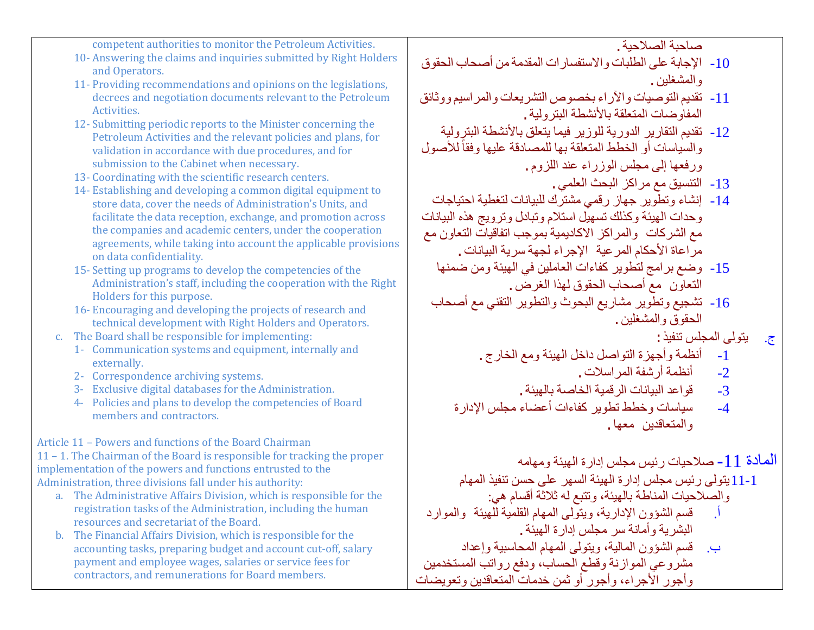competent authorities to monitor the Petroleum Activities.

- 10- Answering the claims and inquiries submitted by Right Holders and Operators.
- 11- Providing recommendations and opinions on the legislations, decrees and negotiation documents relevant to the Petroleum Activities.
- 12- Submitting periodic reports to the Minister concerning the Petroleum Activities and the relevant policies and plans, for validation in accordance with due procedures, and for submission to the Cabinet when necessary.
- 13- Coordinating with the scientific research centers.
- 14- Establishing and developing a common digital equipment to store data, cover the needs of Administration's Units, and facilitate the data reception, exchange, and promotion across the companies and academic centers, under the cooperation agreements, while taking into account the applicable provisions on data confidentiality.
- 15- Setting up programs to develop the competencies of the Administration's staff, including the cooperation with the Right Holders for this purpose.
- 16- Encouraging and developing the projects of research and technical development with Right Holders and Operators.
- c. The Board shall be responsible for implementing:
	- 1- Communication systems and equipment, internally and externally.
	- 2- Correspondence archiving systems.
	- 3- Exclusive digital databases for the Administration.
	- 4- Policies and plans to develop the competencies of Board members and contractors.

Article 11 – Powers and functions of the Board Chairman

11 – 1. The Chairman of the Board is responsible for tracking the proper implementation of the powers and functions entrusted to the Administration, three divisions fall under his authority:

- a. The Administrative Affairs Division, which is responsible for the registration tasks of the Administration, including the human resources and secretariat of the Board.
- b. The Financial Affairs Division, which is responsible for the accounting tasks, preparing budget and account cut-off, salary payment and employee wages, salaries or service fees for contractors, and remunerations for Board members.

صاحبة الصلاحیة.

- -10 الإجابة على الطلبات والاستفسارات المقدمة من أصحاب الحقوق والمشغلین.
- -11 تقدیم التوصیات والآراء بخصوص التشریعات والمراسیم ووثائق المفاوضات المتعلقة بالأنشطة البترولیة.
- -12 تقدیم التقاریر الدوریة للوزیر فیما یتعلق بالأنشطة البترولیة والسياسات أو الخطط المتعلقة بها للمصادقة عليها وفقاً للأصول ورفعھا إلى مجلس الوزراء عند اللزوم.
	- -13 التنسیق مع مراكز البحث العلمي.
- -14 إنشاء وتطویر جھاز رقمي مشترك للبیانات لتغطیة احتیاجات وحدات الھیئة وكذلك تسھیل استلام وتبادل وترویج ھذه البیانات مع الشركات والمراكز الاكادیمیة بموجب اتفاقیات التعاون مع مراعاة الأحكام المرعیة الإجراء لجھة سریة البیانات.
	- -15 وضع برامج لتطویر كفاءات العاملین في الھیئة ومن ضمنھا التعاون مع أصحاب الحقوق لھذا الغرض.
	- -16 تشجیع وتطویر مشاریع البحوث والتطویر التقني مع أصحاب الحقوق والمشغلین.
		- ج. یتولى المجلس تنفیذ:
		- 1- أنظمة وأجهزة التواصل داخل الهيئة ومع الخارج .<br>2- أنظمة أرشفة المر اسلات
			- -2 أنظمة أرشفة المراسلات.
			- -3 قواعد البیانات الرقمیة الخاصة بالھیئة.
		- -4 سیاسات وخطط تطویر كفاءات أعضاء مجلس الإدارة والمتعاقدین معھا.

المادة -11 صلاحیات رئیس مجلس إدارة الھیئة ومھامھ

11-1یتولى رئیس مجلس إدارة الھیئة السھر على حسن تنفیذ المھام والصلاحیات المناطة بالھیئة، وتتبع لھ ثلاثة أقسام ھي:

- أ. قسم الشؤون الإداریة، ویتولى المھام القلمیة للھیئة والموارد البشریة وأمانة سر مجلس إدارة الھیئة.
- ب. قسم الشؤون المالیة، ویتولى المھام المحاسبیة وإعداد مشروعي الموازنة وقطع الحساب، ودفع رواتب المستخدمین وأجور الأجراء، وأجور أو ثمن خدمات المتعاقدین وتعویضات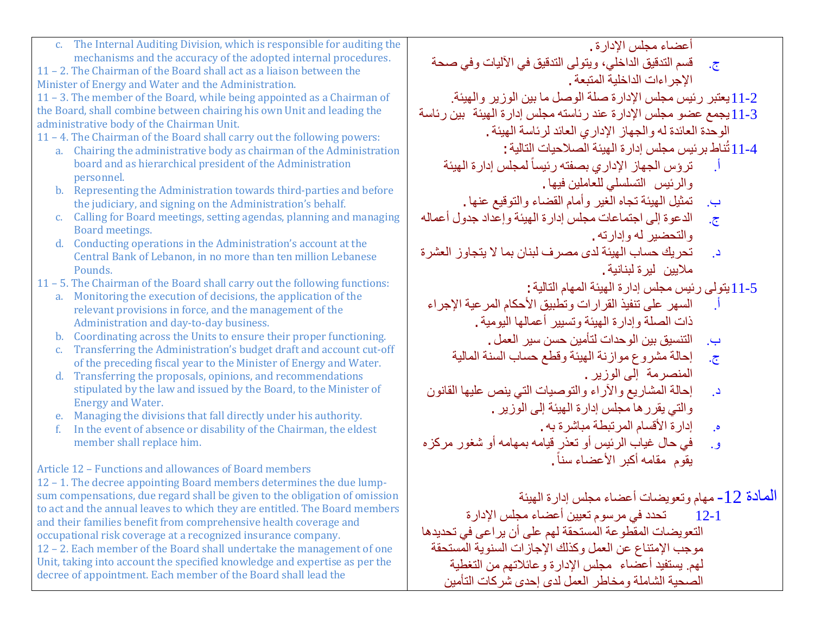| c. The Internal Auditing Division, which is responsible for auditing the                                                                                  | أعضاء مجلس الإدارة .                                                             |
|-----------------------------------------------------------------------------------------------------------------------------------------------------------|----------------------------------------------------------------------------------|
| mechanisms and the accuracy of the adopted internal procedures.                                                                                           | قسم التدقيق الداخلي، ويتولى التدقيق في الأليات وفي صحة<br>$\cdot$ $\overline{C}$ |
| 11 - 2. The Chairman of the Board shall act as a liaison between the<br>Minister of Energy and Water and the Administration.                              | الإجراءات الداخلية المتبعة .                                                     |
| 11 - 3. The member of the Board, while being appointed as a Chairman of                                                                                   | 1-2 [يعتبر رئيس مجلس الإدارة صلة الوصل ما بين الوزير والهيئة.                    |
| the Board, shall combine between chairing his own Unit and leading the                                                                                    | 3-11يجمع عضو مجلس الإدارة عند رئاسته مجلس إدارة الهيئة بين رئاسة                 |
| administrative body of the Chairman Unit.                                                                                                                 | الوحدة العائدة له والجهاز الإداري العائد لرئاسة الهيئة .                         |
| 11 - 4. The Chairman of the Board shall carry out the following powers:<br>Chairing the administrative body as chairman of the Administration             | 4-11 تُناط برئيس مجلس إدارة الهيئة الصلاحيات التالية :                           |
| a.<br>board and as hierarchical president of the Administration                                                                                           | ترؤس الجهاز الإداري بصفته رئيسأ لمجلس إدارة الهيئة                               |
| personnel.                                                                                                                                                |                                                                                  |
| b. Representing the Administration towards third-parties and before                                                                                       | والرئيس التسلسلي للعاملين فيها .                                                 |
| the judiciary, and signing on the Administration's behalf.                                                                                                | تمثيل الهيئة تجاه الغير وأمام القضاء والتوقيع عنها .<br>ب.                       |
| c. Calling for Board meetings, setting agendas, planning and managing<br>Board meetings.                                                                  | الدعوة إلى اجتماعات مجلس إدارة الهيئة وإعداد جدول أعماله<br>$\overline{c}$       |
| Conducting operations in the Administration's account at the<br>$d_{-}$                                                                                   | والتحضير له وإدارته.                                                             |
| Central Bank of Lebanon, in no more than ten million Lebanese                                                                                             | تحريك حساب الهيئة لدى مصر ف لبنان بما لا يتجاوز العشرة<br>در                     |
| Pounds.                                                                                                                                                   | ملايين ليرة لبنانية .                                                            |
| 11 - 5. The Chairman of the Board shall carry out the following functions:<br>Monitoring the execution of decisions, the application of the<br>a.         | 5-11 يتولى رئيس مجلس إدارة الهيئة المهام التالية :                               |
| relevant provisions in force, and the management of the                                                                                                   | السهر على تنفيذ القرارات وتطبيق الأحكام المرعية الإجراء                          |
| Administration and day-to-day business.                                                                                                                   | ذات الصلة وإدارة الهيئة وتسيير أعمالها اليومية .                                 |
| Coordinating across the Units to ensure their proper functioning.<br>$\mathbf{b}$ .                                                                       | التنسيق بين الوحدات لتأمين حسن سير العمل .<br><u>ب</u> .                         |
| Transferring the Administration's budget draft and account cut-off<br>C <sub>1</sub><br>of the preceding fiscal year to the Minister of Energy and Water. | إحالة مشروع موازنة الهيئة وقطع حساب السنة المالية<br>$\overline{\mathcal{C}}$    |
| d. Transferring the proposals, opinions, and recommendations                                                                                              | المنصرمة إلى الوزير .                                                            |
| stipulated by the law and issued by the Board, to the Minister of                                                                                         | إحالة المشاريع والأراء والتوصيات التي ينص عليها القانون<br>در                    |
| <b>Energy and Water.</b>                                                                                                                                  | والتي يقرر ها مجلس إدارة الـهيئة إلى الوزير .                                    |
| e. Managing the divisions that fall directly under his authority.<br>In the event of absence or disability of the Chairman, the eldest<br>f.              | إدارة الأقسام المرتبطة مباشرة به .<br>$\cdot$                                    |
| member shall replace him.                                                                                                                                 | في حال غياب الرئيس أو تعذر قيامه بمهامه أو شغور مركزه<br><b>و.</b>               |
|                                                                                                                                                           | يقوم مقامه أكبر الأعضاء سناً .                                                   |
| Article 12 - Functions and allowances of Board members                                                                                                    |                                                                                  |
| 12 - 1. The decree appointing Board members determines the due lump-<br>sum compensations, due regard shall be given to the obligation of omission        |                                                                                  |
| to act and the annual leaves to which they are entitled. The Board members                                                                                | المادة 12- مهام وتعويضات أعضاء مجلس إدارة الهيئة                                 |
| and their families benefit from comprehensive health coverage and                                                                                         | ِ تحدد في مرسوم تعيين أعضاء مجلس الإدار ة<br>$12 - 1$                            |
| occupational risk coverage at a recognized insurance company.                                                                                             | التعويضات المقطوعة المستحقة لهم على أن يراعى في تحديدها                          |
| 12 - 2. Each member of the Board shall undertake the management of one                                                                                    | موجب الإمتناع عن العمل وكذلك الإجازات السنوية المستحقة                           |
| Unit, taking into account the specified knowledge and expertise as per the<br>decree of appointment. Each member of the Board shall lead the              | لمهم يستفيد أعضاء ً مجلس الإدارة وعائلاتهم من التغطية                            |
|                                                                                                                                                           | الصحية الشاملة ومخاطر العمل لدى إحدى شر كات التأمين                              |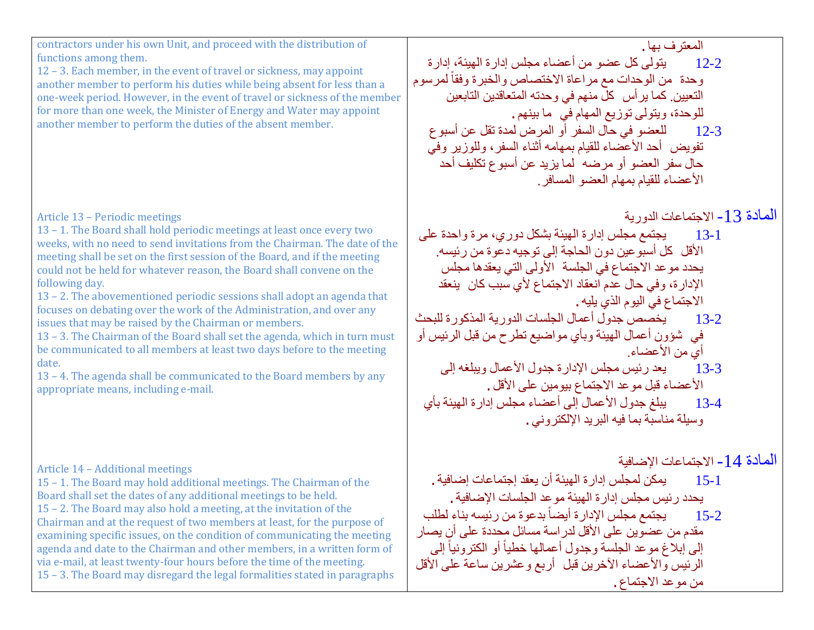contractors under his own Unit, and proceed with the distribution of functions among them.

12 – 3. Each member, in the event of travel or sickness, may appoint another member to perform his duties while being absent for less than a one-week period. However, in the event of travel or sickness of the member for more than one week, the Minister of Energy and Water may appoint another member to perform the duties of the absent member.

### Article 13 – Periodic meetings

13 – 1. The Board shall hold periodic meetings at least once every two weeks, with no need to send invitations from the Chairman. The date of the meeting shall be set on the first session of the Board, and if the meeting could not be held for whatever reason, the Board shall convene on the following day.

13 – 2. The abovementioned periodic sessions shall adopt an agenda that focuses on debating over the work of the Administration, and over any issues that may be raised by the Chairman or members.

13 – 3. The Chairman of the Board shall set the agenda, which in turn must be communicated to all members at least two days before to the meeting date.

13 – 4. The agenda shall be communicated to the Board members by any appropriate means, including e-mail.

### Article 14 – Additional meetings

15 – 1. The Board may hold additional meetings. The Chairman of the Board shall set the dates of any additional meetings to be held. 15 – 2. The Board may also hold a meeting, at the invitation of the Chairman and at the request of two members at least, for the purpose of examining specific issues, on the condition of communicating the meeting agenda and date to the Chairman and other members, in a written form of via e-mail, at least twenty-four hours before the time of the meeting. 15 – 3. The Board may disregard the legal formalities stated in paragraphs المعترف بھا.

12-2 یتولى كل عضو من أعضاء مجلس إدارة الھیئة، إدارة وحدة من الوحدات مع مراعاة الاختصاص والخبرة وفقاً لمرسوم التعیین. كما یرأس كل منھم في وحدتھ المتعاقدین التابعین للوحدة، ویتولى توزیع المھام في ما بینھم. 12-3 للعضو في حال السفر أو المرض لمدة تقل عن أسبوع تفویض أحد الأعضاء للقیام بمھامھ أثناء السفر، وللوزیر وفي حال سفر العضو أو مرضھ لما یزید عن أسبوع تكلیف أحد الأعضاء للقیام بمھام العضو المسافر.

المادة -13 الاجتماعات الدوریة

13-1 یجتمع مجلس إدارة الھیئة بشكل دوري، مرة واحدة على الأقل كل أسبوعین دون الحاجة إلى توجیھ دعوة من رئیسھ. یحدد موعد الاجتماع في الجلسة الأولى التي یعقدھا مجلس الإدارة، وفي حال عدم انعقاد الاجتماع لأي سبب كان ینعقد الاجتماع في الیوم الذي یلیھ.

- 13-2 یخصص جدول أعمال الجلسات الدوریة المذكورة للبحث في شؤون أعمال الھیئة وبأي مواضیع تطرح من قبل الرئیس أو أي من الأعضاء.
	- 13-3 یعد رئیس مجلس الإدارة جدول الأعمال ویبلغھ إلى الأعضاء قبل موعد الاجتماع بیومین على الأقل.
	- 13-4 یبلغ جدول الأعمال إلى أعضاء مجلس إدارة الھیئة بأي وسیلة مناسبة بما فیھ البرید الإلكتروني.

المادة 14- الاجتماعات الإضافية<br>15-1 المجلس إدار ة الهيئة أن يعقد إجتماعات إضافية -1 یحدد رئیس مجلس إدارة الھیئة موعد الجلسات الإضافیة. ً بدعوة من رئیسھ بناء لطلب 15-2 یجتمع مجلس الإدارة أیضا مقدم من عضوین على الأقل لدراسة مسائل محددة على أن یصار إلى إبلاغ موعد الجلسة وجدول أعمالها خطياً أو الكترونياً إلى الرئیس والأعضاء الآخرین قبل أربع وعشرین ساعة على الأقل من موعد الاجتماع.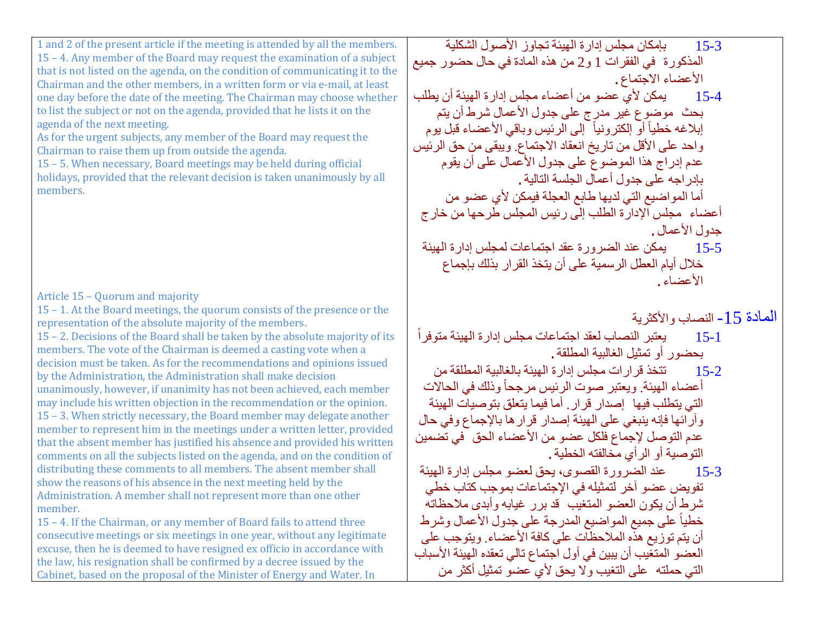1 and 2 of the present article if the meeting is attended by all the members. 15 – 4. Any member of the Board may request the examination of a subject that is not listed on the agenda, on the condition of communicating it to the Chairman and the other members, in a written form or via e-mail, at least one day before the date of the meeting. The Chairman may choose whether to list the subject or not on the agenda, provided that he lists it on the agenda of the next meeting.

As for the urgent subjects, any member of the Board may request the Chairman to raise them up from outside the agenda.

15 – 5. When necessary, Board meetings may be held during official holidays, provided that the relevant decision is taken unanimously by all members.

Article 15 – Quorum and majority

15 – 1. At the Board meetings, the quorum consists of the presence or the representation of the absolute majority of the members.

15 – 2. Decisions of the Board shall be taken by the absolute majority of its members. The vote of the Chairman is deemed a casting vote when a decision must be taken. As for the recommendations and opinions issued by the Administration, the Administration shall make decision unanimously, however, if unanimity has not been achieved, each member may include his written objection in the recommendation or the opinion. 15 – 3. When strictly necessary, the Board member may delegate another member to represent him in the meetings under a written letter, provided that the absent member has justified his absence and provided his written comments on all the subjects listed on the agenda, and on the condition of distributing these comments to all members. The absent member shall show the reasons of his absence in the next meeting held by the Administration. A member shall not represent more than one other member.

15 – 4. If the Chairman, or any member of Board fails to attend three consecutive meetings or six meetings in one year, without any legitimate excuse, then he is deemed to have resigned ex officio in accordance with the law, his resignation shall be confirmed by a decree issued by the Cabinet, based on the proposal of the Minister of Energy and Water. In

15-3 بإمكان مجلس إدارة الھیئة تجاوز الأصول الشكلیة المذكورة في الفقرات 1 و2 من ھذه المادة في حال حضور جمیع الأعضاء الاجتماع. 15-4 یمكن لأي عضو من أعضاء مجلس إدارة الھیئة أن یطلب بحث موضوع غیر مدرج على جدول الأعمال شرط أن يتم<br>إبلاغه خطياً أو إلكترونياً إلى الرئيس وباقي الأعضاء قبل يوم واحد على الأقل من تاریخ انعقاد الاجتماع. ویبقى من حق الرئیس عدم إدراج ھذا الموضوع على جدول الأعمال على أن یقوم بإدراجھ على جدول أعمال الجلسة التالیة. أما المواضیع التي لدیھا طابع العجلة فیمكن لأي عضو من أعضاء مجلس الإدارة الطلب إلى رئیس المجلس طرحھا من خارج جدول الأعمال. 15-5 یمكن عند الضرورة عقد اجتماعات لمجلس إدارة الھیئة خلال أیام العطل الرسمیة على أن یتخذ القرار بذلك بإجماع الأعضاء.

- المادة 15- النصاب والأكثرية<br>15-1 يعتبر النصاب لعقد اجتماعات مجلس إدارة الهيئة متوفراً بحضور أو تمثيل الغالبية المطلقة .<br>15-2 تتخذ قر ار ات محلس ادار ة ا
- 15-2 تتخذ قرارات مجلس إدارة الھیئة بالغالبیة المطلقة من أعضاء الهيئة. ويعتبر صوت الرئيس مرجحاً وذلك في الحالات التي یتطلب فیھا إصدار قرار. أما فیما یتعلق بتوصیات الھیئة وآرائھا فإنھ ینبغي على الھیئة إصدار قرارھا بالإجماع وفي حال عدم التوصل لإجماع فلكل عضو من الأعضاء الحق في تضمین التوصیة أو الرأي مخالفتھ الخطیة.

15-3 عند الضرورة القصوى، یحق لعضو مجلس إدارة الھیئة تفویض عضو آخر لتمثیلھ في الإجتماعات بموجب كتاب خطي شرط أن یكون العضو المتغیب قد برر غیابھ وأبدى ملاحظاتھ خطياً على جميع المواضيع المدرجة على جدول الأعمال وشرط أن یتم توزیع ھذه الملاحظات على كافة الأعضاء. ویتوجب على العضو المتغیب أن یبین في أول اجتماع تالي تعقده الھیئة الأسباب التي حملتھ على التغیب ولا یحق لأي عضو تمثیل أكثر من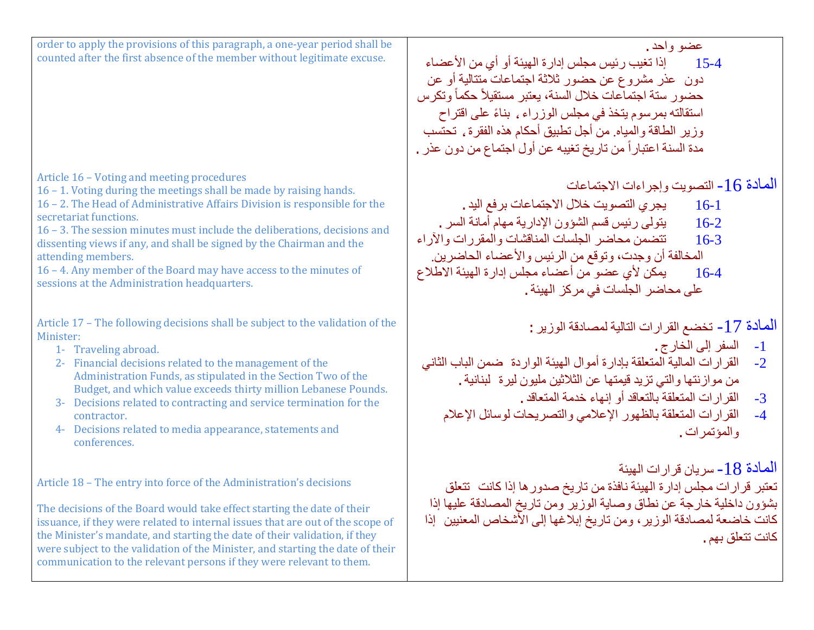| عضو واحد.<br>إذا تغيب رئيس مجلس إدارة الهيئة أو أي من الأعضاء<br>$15-4$<br>دون عذر مشروع عن حضور ثلاثة اجتماعات متتالية أو عن<br>حضور ستة اجتماعات خلال السنة، يعتبر مستقيلاً حكماً وتكرس<br>استقالته بمرسوم يتخذ فى مجلس الوزراء , بناءً على اقتراح<br>وزير الطاقة والمياه من أجل تطبيق أحكام هذه الفقرة ، تحتسب                                                                              | order to apply the provisions of this paragraph, a one-year period shall be<br>counted after the first absence of the member without legitimate excuse.                                                                                                                                                                                                                                                                                                                                                                  |
|------------------------------------------------------------------------------------------------------------------------------------------------------------------------------------------------------------------------------------------------------------------------------------------------------------------------------------------------------------------------------------------------|--------------------------------------------------------------------------------------------------------------------------------------------------------------------------------------------------------------------------------------------------------------------------------------------------------------------------------------------------------------------------------------------------------------------------------------------------------------------------------------------------------------------------|
| مدة السنة اعتباراً من تاريخ تغيبه عن أول اجتماع من دون عذر .                                                                                                                                                                                                                                                                                                                                   |                                                                                                                                                                                                                                                                                                                                                                                                                                                                                                                          |
| المادة 16 - التصويت وإجراءات الاجتماعات<br>يجرى التصويت خلال الاجتماعات برفع اليد .<br>$16-1$<br>يتولى رئيس قسم الشؤون الإدارية مهام أمانة السر .<br>$16-2$<br>تتضمن محاضر الجلسات المناقشات والمقررات والأراء<br>$16-3$<br>المخالفة أن وجدت، وتوقع من الرئيس والأعضاء الحاضرين<br>يمكن لأي عضو من أعضاء مجلس إدارة الهيئة الاطلاع<br>$16-4$<br>على محاضر الجلسات في مركز الهيئة .             | Article 16 - Voting and meeting procedures<br>16 - 1. Voting during the meetings shall be made by raising hands.<br>16 - 2. The Head of Administrative Affairs Division is responsible for the<br>secretariat functions.<br>16 - 3. The session minutes must include the deliberations, decisions and<br>dissenting views if any, and shall be signed by the Chairman and the<br>attending members.<br>16 - 4. Any member of the Board may have access to the minutes of<br>sessions at the Administration headquarters. |
| الْمَادة 17 - تخضع القرارات التالية لمصادقة الوزير :<br>السفر إلى الخار ج .<br>$-1$<br>القرارات المالية المتعلقة بإدارة أموال الهيئة الواردة ضمن الباب الثاني<br>$-2$<br>من موازنتها والتي تزيد قيمتها عن الثلاثين مليون ليرة لبنانية .<br>القرارات المتعلقة بالتعاقد أو إنهاء خدمة المتعاقد .<br>$-3$<br>القرارات المتعلقة بالظهور الإعلامي والتصريحات لوسائل الإعلام<br>$-4$<br>والمؤتمرات . | Article 17 - The following decisions shall be subject to the validation of the<br>Minister:<br>1- Traveling abroad.<br>2- Financial decisions related to the management of the<br>Administration Funds, as stipulated in the Section Two of the<br>Budget, and which value exceeds thirty million Lebanese Pounds.<br>3- Decisions related to contracting and service termination for the<br>contractor.<br>4- Decisions related to media appearance, statements and<br>conferences.                                     |
| الممادة 18 - سريان قرارات الهيئة<br>تعتبر قرارات مجلس إدارة الهيئة نافذة من تاريخ صدور ها إذا كانت تتعلق<br>بشؤون داخلية خارجة عن نطاق وصاية الوزير ومن تاريخ المصادقة عليها إذا<br>كانت خاضعة لمصادقة الوزير ، ومن تاريخ إبلاغها إلى الأشخاص المعنيين ۖ إذا<br>كانت تتعلق بهم .                                                                                                               | Article 18 - The entry into force of the Administration's decisions<br>The decisions of the Board would take effect starting the date of their<br>issuance, if they were related to internal issues that are out of the scope of<br>the Minister's mandate, and starting the date of their validation, if they<br>were subject to the validation of the Minister, and starting the date of their<br>communication to the relevant persons if they were relevant to them.                                                 |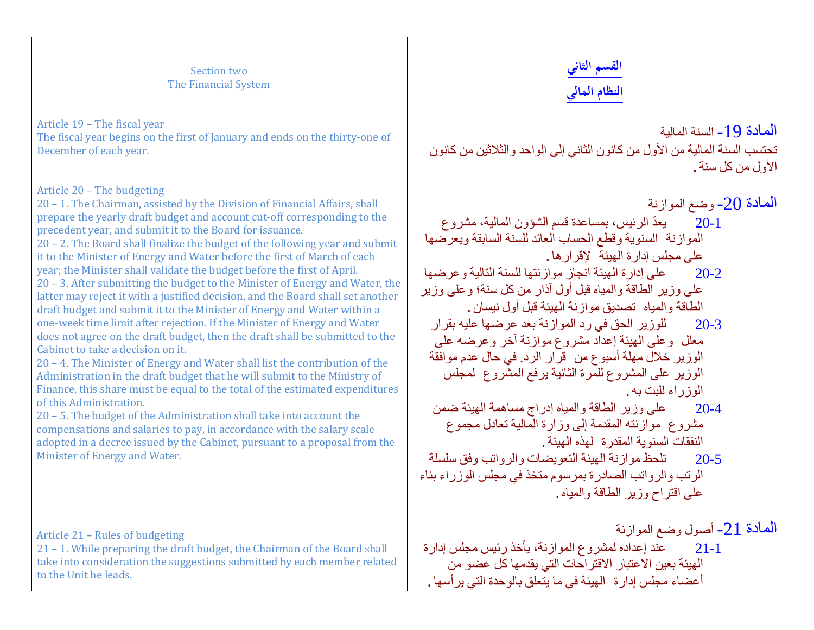#### Section two The Financial System

Article 19 – The fiscal year The fiscal year begins on the first of January and ends on the thirty-one of December of each year.

#### Article 20 – The budgeting

20 – 1. The Chairman, assisted by the Division of Financial Affairs, shall prepare the yearly draft budget and account cut-off corresponding to the precedent year, and submit it to the Board for issuance.

20 – 2. The Board shall finalize the budget of the following year and submit it to the Minister of Energy and Water before the first of March of each year; the Minister shall validate the budget before the first of April.

20 – 3. After submitting the budget to the Minister of Energy and Water, the latter may reject it with a justified decision, and the Board shall set another draft budget and submit it to the Minister of Energy and Water within a one-week time limit after rejection. If the Minister of Energy and Water does not agree on the draft budget, then the draft shall be submitted to the Cabinet to take a decision on it.

20 – 4. The Minister of Energy and Water shall list the contribution of the Administration in the draft budget that he will submit to the Ministry of Finance, this share must be equal to the total of the estimated expenditures of this Administration.

20 – 5. The budget of the Administration shall take into account the compensations and salaries to pay, in accordance with the salary scale adopted in a decree issued by the Cabinet, pursuant to a proposal from the Minister of Energy and Water.

Article 21 – Rules of budgeting

21 – 1. While preparing the draft budget, the Chairman of the Board shall take into consideration the suggestions submitted by each member related to the Unit he leads.

# **القسم الثاني النظام المالي**

المادة 19 ـ السنة المالية تحتسب السنة المالیة من الأول من كانون الثاني إلى الواحد والثلاثین من كانون الأول من كل سنة.

المادة 20- وضع الموازنة 20-1 ّ یعد الرئیس، بمساعدة قسم الشؤون المالیة، مشروع الموازنة السنویة وقطع الحساب العائد للسنة السابقة ویعرضھا على مجلس إدارة الھیئة لإقرارھا. 20-2 على إدارة الھیئة انجاز موازنتھا للسنة التالیة وعرضھا على وزیر الطاقة والمیاه قبل أول آذار من كل سنة؛ وعلى وزیر الطاقة والمیاه تصدیق موازنة الھیئة قبل أول نیسان. 20-3 للوزیر الحق في رد الموازنة بعد عرضھا علیھ بقرار معلل وعلى الھیئة إعداد مشروع موازنة آخر وعرضھ على الوزیر خلال مھلة أسبوع من قرار الرد. في حال عدم موافقة الوزیر على المشروع للمرة الثانیة یرفع المشروع لمجلس الوزراء للبت بھ. 20-4 على وزیر الطاقة والمیاه إدراج مساھمة الھیئة ضمن مشروع موازنتھ المقدمة إلى وزارة المالیة تعادل مجموع النفقات السنویة المقدرة لھذه الھیئة.

20-5 تلحظ موازنة الھیئة التعویضات والرواتب وفق سلسلة الرتب والرواتب الصادرة بمرسوم متخذ في مجلس الوزراء بناء على اقتراح وزیر الطاقة والمیاه.

المادة -21 أصول وضع الموازنة 21-1 عند إعداده لمشروع الموازنة، یأخذ رئیس مجلس إدارة الھیئة بعین الاعتبار الاقتراحات التي یقدمھا كل عضو من أعضاء مجلس إدارة الھیئة في ما یتعلق بالوحدة التي یرأسھا.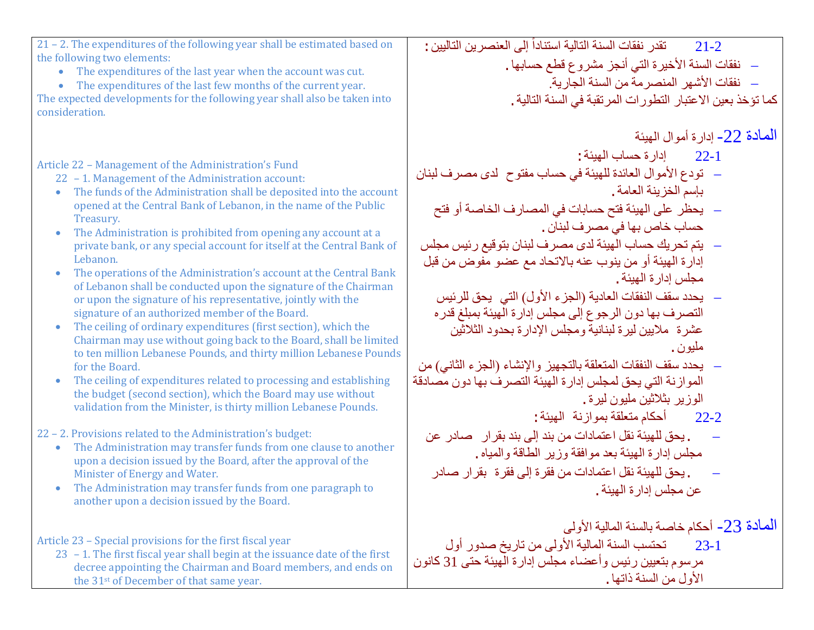| 21 - 2. The expenditures of the following year shall be estimated based on                                                                                                                                                                                                                                                                                                                                                                                                                                                                                                                                                                                                                                                                                                                                                                                                                                                                                                                                                                                                                                                                                                                                                                                                                                                                                                                                                                                                                                                    | تقدر نفقات السنة التالية استناداً إلى العنصرين التاليين :<br>$21 - 2$                                                                                                                                                                                                                                                                                                                                                                                                                                                                                                                                                                                                                                                                                                                                                                                                                                                                                                                                      |
|-------------------------------------------------------------------------------------------------------------------------------------------------------------------------------------------------------------------------------------------------------------------------------------------------------------------------------------------------------------------------------------------------------------------------------------------------------------------------------------------------------------------------------------------------------------------------------------------------------------------------------------------------------------------------------------------------------------------------------------------------------------------------------------------------------------------------------------------------------------------------------------------------------------------------------------------------------------------------------------------------------------------------------------------------------------------------------------------------------------------------------------------------------------------------------------------------------------------------------------------------------------------------------------------------------------------------------------------------------------------------------------------------------------------------------------------------------------------------------------------------------------------------------|------------------------------------------------------------------------------------------------------------------------------------------------------------------------------------------------------------------------------------------------------------------------------------------------------------------------------------------------------------------------------------------------------------------------------------------------------------------------------------------------------------------------------------------------------------------------------------------------------------------------------------------------------------------------------------------------------------------------------------------------------------------------------------------------------------------------------------------------------------------------------------------------------------------------------------------------------------------------------------------------------------|
| the following two elements:                                                                                                                                                                                                                                                                                                                                                                                                                                                                                                                                                                                                                                                                                                                                                                                                                                                                                                                                                                                                                                                                                                                                                                                                                                                                                                                                                                                                                                                                                                   | __ نفقات السنة الأخيرة التي أنجز مشروع قطع حسابها .                                                                                                                                                                                                                                                                                                                                                                                                                                                                                                                                                                                                                                                                                                                                                                                                                                                                                                                                                        |
| • The expenditures of the last year when the account was cut.<br>• The expenditures of the last few months of the current year.                                                                                                                                                                                                                                                                                                                                                                                                                                                                                                                                                                                                                                                                                                                                                                                                                                                                                                                                                                                                                                                                                                                                                                                                                                                                                                                                                                                               | –   نفقات الأشهر  المنصر مة من السنة الجارية.                                                                                                                                                                                                                                                                                                                                                                                                                                                                                                                                                                                                                                                                                                                                                                                                                                                                                                                                                              |
| The expected developments for the following year shall also be taken into                                                                                                                                                                                                                                                                                                                                                                                                                                                                                                                                                                                                                                                                                                                                                                                                                                                                                                                                                                                                                                                                                                                                                                                                                                                                                                                                                                                                                                                     | كما تؤخذ بعين الاعتبار التطورات المرتقبة في السنة التالية .                                                                                                                                                                                                                                                                                                                                                                                                                                                                                                                                                                                                                                                                                                                                                                                                                                                                                                                                                |
| consideration.                                                                                                                                                                                                                                                                                                                                                                                                                                                                                                                                                                                                                                                                                                                                                                                                                                                                                                                                                                                                                                                                                                                                                                                                                                                                                                                                                                                                                                                                                                                |                                                                                                                                                                                                                                                                                                                                                                                                                                                                                                                                                                                                                                                                                                                                                                                                                                                                                                                                                                                                            |
| Article 22 - Management of the Administration's Fund<br>22 - 1. Management of the Administration account:<br>The funds of the Administration shall be deposited into the account<br>$\bullet$<br>opened at the Central Bank of Lebanon, in the name of the Public<br>Treasury.<br>The Administration is prohibited from opening any account at a<br>$\bullet$<br>private bank, or any special account for itself at the Central Bank of<br>Lebanon.<br>The operations of the Administration's account at the Central Bank<br>of Lebanon shall be conducted upon the signature of the Chairman<br>or upon the signature of his representative, jointly with the<br>signature of an authorized member of the Board.<br>The ceiling of ordinary expenditures (first section), which the<br>Chairman may use without going back to the Board, shall be limited<br>to ten million Lebanese Pounds, and thirty million Lebanese Pounds<br>for the Board.<br>The ceiling of expenditures related to processing and establishing<br>the budget (second section), which the Board may use without<br>validation from the Minister, is thirty million Lebanese Pounds.<br>22 - 2. Provisions related to the Administration's budget:<br>The Administration may transfer funds from one clause to another<br>$\bullet$<br>upon a decision issued by the Board, after the approval of the<br>Minister of Energy and Water.<br>The Administration may transfer funds from one paragraph to<br>another upon a decision issued by the Board. | المعادة 22- إدارة أموال المهيئة<br>22-1 إدارة حساب المهيئة:<br>__ تودع الأموال العائدة للهيئة في حساب مفتوح لدى مصرف لبنان<br>بإسم الخزينة العامة .<br>__ يحظر على الهيئة فتح حسابات في المصارف الخاصة أو فتح<br>حساب خاص بها في مصرف لبنان .<br>__ يتم تحريك حساب الهيئة لدى مصرف لبنان بتوقيع رئيس مجلس<br>إدارة الهيئة أو من ينوب عنه بالاتحاد مع عضو مفوض من قبل<br>مجلس إدار ة الـهيئة .<br>– يحدد سقف النفقات العادية (الجزء الأول) التي يحق للرئيس<br>التصرف بها دون الرجوع إلى مجلس إدارة الهيئة بمبلغ قدره<br>عشرة ملايين ليرة لبنانية ومجلس الإدارة بحدود الثلاثين<br>مليون .<br>__ يحدد سقف النفقات المتعلقة بالتجهيز والإنشاء (الجزء الثاني) من<br>الموازنة التي يحق لمجلس إدارة الهيئة التصرف بها دون مصادقة<br>الوزير بثلاثين مليون ليرة .<br>أحكام متعلقة بموازنة المهيئة:<br>$22 - 2$<br>. يحق للهيئة نقل اعتمادات من بند إلى بند بقرار صادر عن<br>مجلس إدارة الهيئة بعد موافقة وزير الطاقة والمياه .<br>. يحق للهيئة نقل اعتمادات من فقرة إلى فقرة بقرار صادر<br>عن مجلس إدار ة الـهيئة . |
| Article 23 – Special provisions for the first fiscal year<br>23 - 1. The first fiscal year shall begin at the issuance date of the first<br>decree appointing the Chairman and Board members, and ends on<br>the 31 <sup>st</sup> of December of that same year.                                                                                                                                                                                                                                                                                                                                                                                                                                                                                                                                                                                                                                                                                                                                                                                                                                                                                                                                                                                                                                                                                                                                                                                                                                                              | المعادة 23- أحكام خاصة بالسنة المالية الأولى<br>الأول من السنة ذاتها .                                                                                                                                                                                                                                                                                                                                                                                                                                                                                                                                                                                                                                                                                                                                                                                                                                                                                                                                     |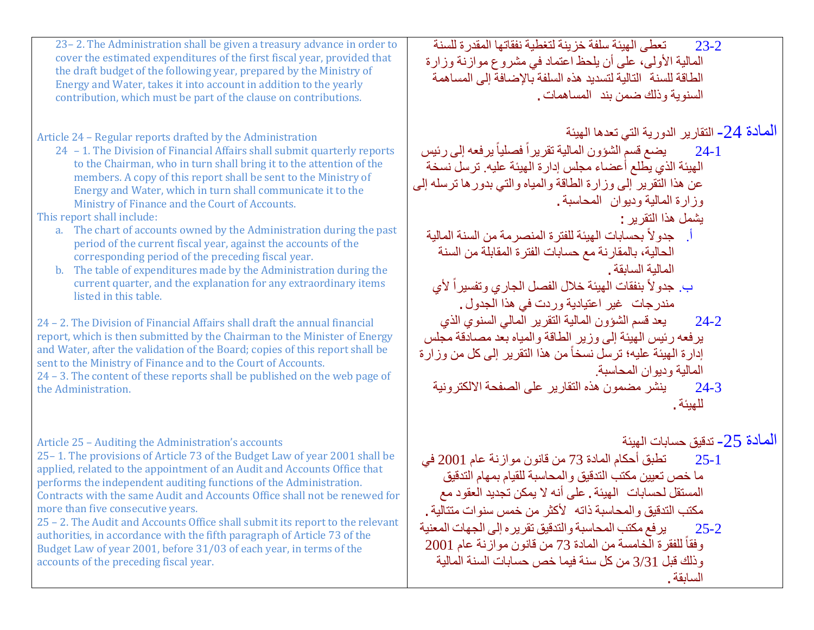| 23 – 2. The Administration shall be given a treasury advance in order to<br>cover the estimated expenditures of the first fiscal year, provided that<br>the draft budget of the following year, prepared by the Ministry of<br>Energy and Water, takes it into account in addition to the yearly<br>contribution, which must be part of the clause on contributions.                                                                                                                                                                                                                                                                                                                                                                                                                                                                                                                                                                                                                                                                                                                                                                                                                                                               | تعطي الهيئة سلفة خزينة لتغطية نفقاتها المقدرة للسنة<br>$23 - 2$<br>المالية الأولى، على أن يلحظ اعتماد في مشروع موازنة وزارة<br>الطاقة للسنة التالية لتسديد هذه السلفة بالإضافة إلى المساهمة<br>السنوية وذلك ضمن بند المساهمات .                                                                                                                                                                                                                                                                                                                                                                                                                                                                                                                                                                                                                          |
|------------------------------------------------------------------------------------------------------------------------------------------------------------------------------------------------------------------------------------------------------------------------------------------------------------------------------------------------------------------------------------------------------------------------------------------------------------------------------------------------------------------------------------------------------------------------------------------------------------------------------------------------------------------------------------------------------------------------------------------------------------------------------------------------------------------------------------------------------------------------------------------------------------------------------------------------------------------------------------------------------------------------------------------------------------------------------------------------------------------------------------------------------------------------------------------------------------------------------------|----------------------------------------------------------------------------------------------------------------------------------------------------------------------------------------------------------------------------------------------------------------------------------------------------------------------------------------------------------------------------------------------------------------------------------------------------------------------------------------------------------------------------------------------------------------------------------------------------------------------------------------------------------------------------------------------------------------------------------------------------------------------------------------------------------------------------------------------------------|
| Article 24 - Regular reports drafted by the Administration<br>24 - 1. The Division of Financial Affairs shall submit quarterly reports<br>to the Chairman, who in turn shall bring it to the attention of the<br>members. A copy of this report shall be sent to the Ministry of<br>Energy and Water, which in turn shall communicate it to the<br>Ministry of Finance and the Court of Accounts.<br>This report shall include:<br>a. The chart of accounts owned by the Administration during the past<br>period of the current fiscal year, against the accounts of the<br>corresponding period of the preceding fiscal year.<br>The table of expenditures made by the Administration during the<br>$\mathbf{b}$ .<br>current quarter, and the explanation for any extraordinary items<br>listed in this table.<br>24 - 2. The Division of Financial Affairs shall draft the annual financial<br>report, which is then submitted by the Chairman to the Minister of Energy<br>and Water, after the validation of the Board; copies of this report shall be<br>sent to the Ministry of Finance and to the Court of Accounts.<br>24 - 3. The content of these reports shall be published on the web page of<br>the Administration. | المادة 24- التقارير الدورية التي تعدها الهيئة<br>24-1 ٪ يضع قسم الشؤون المالية تقريراً فصلياً يرفعه إلى رئيس<br>الهيئة الذي يطلع أعضاء مجلس إدارة الهيئة عليه ترسل نسخة<br>عن هذا النقرير إلى وزارة الطاقة والمياه والتي بدورها ترسله إلى<br>وزارة المالية وديوان المحاسبة.<br>يشمل هذا التقرير :<br>أ. جدولاً بحسابات الهيئة للفترة المنصرمة من السنة المالية<br>الحالية، بالمقارنة مع حسابات الفترة المقابلة من السنة<br>المالية السابقة .<br>بِ. جدو لاَ بنفقات الهيئة خلال الفصل الجاري وتفسيراً لأي<br>مندرجات غير اعتيادية وردت في هذا الجدول .<br>يعد قسم الشؤون المالية التقرير المالي السنوي الذي<br>$24 - 2$<br>يرفعه رئيس الهيئة إلى وزير الطاقة والمياه بعد مصادقة مجلس<br>إدارة الهيئة عليه؛ ترسل نسخاً من هذا التقرير إلى كل من وزارة<br>المالية وديوان المحاسبة<br>ينشر مضمون هذه التقارير على الصفحة الالكترونية<br>$24 - 3$<br>للهيئة . |
| Article 25 - Auditing the Administration's accounts<br>25-1. The provisions of Article 73 of the Budget Law of year 2001 shall be<br>applied, related to the appointment of an Audit and Accounts Office that<br>performs the independent auditing functions of the Administration.<br>Contracts with the same Audit and Accounts Office shall not be renewed for<br>more than five consecutive years.<br>25 - 2. The Audit and Accounts Office shall submit its report to the relevant<br>authorities, in accordance with the fifth paragraph of Article 73 of the<br>Budget Law of year 2001, before 31/03 of each year, in terms of the<br>accounts of the preceding fiscal year.                                                                                                                                                                                                                                                                                                                                                                                                                                                                                                                                               | المادة 25- تدقيق حسابات الهيئة<br>تطبق أحكام المادة 73 من قانون موازنة عام 2001 في<br>$25 - 1$<br>ما خص تعيين مكتب التدقيق والمحاسبة للقيام بمهام التدقيق<br>المستقل لحسابات الهيئة . على أنه لا يمكن تجديد العقود مع<br>مكتب التدقيق والمحاسبة ذاته   لأكثر  من خمس سنوات متتالية .<br>يرفع مكتب المحاسبة والتدقيق تقريره إلى الجهات المعنية<br>$25 - 2$<br>وفقاً للفقرة الخامسة من المادة 73 من قانون موازنة عام 2001<br>وذلك قبل 3/31 من كل سنة فيما خص حسابات السنة المالية<br>السابقة.                                                                                                                                                                                                                                                                                                                                                              |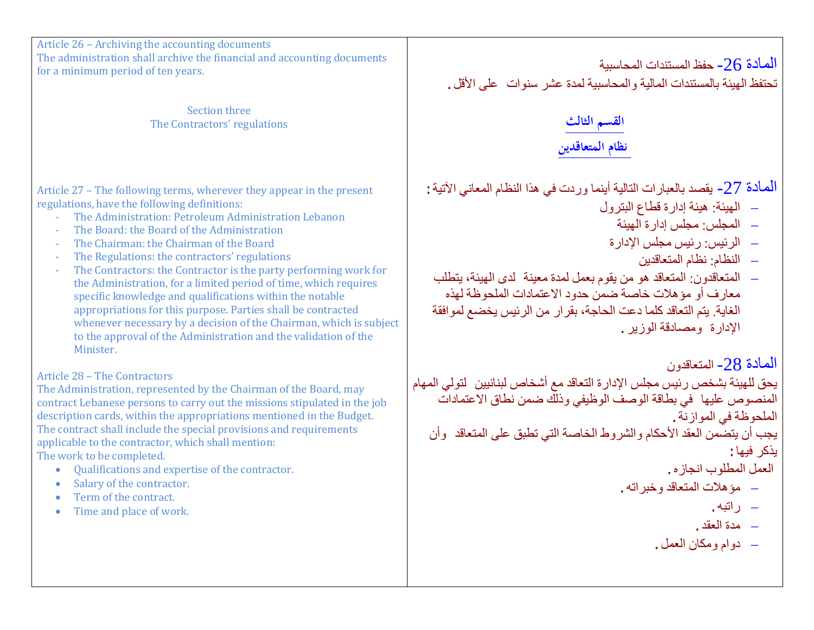Article 26 – Archiving the accounting documents The administration shall archive the financial and accounting documents for a minimum period of ten years.

> Section three The Contractors' regulations

Article 27 – The following terms, wherever they appear in the present regulations, have the following definitions:

- The Administration: Petroleum Administration Lebanon
- The Board: the Board of the Administration
- The Chairman: the Chairman of the Board
- The Regulations: the contractors' regulations
- The Contractors: the Contractor is the party performing work for the Administration, for a limited period of time, which requires specific knowledge and qualifications within the notable appropriations for this purpose. Parties shall be contracted whenever necessary by a decision of the Chairman, which is subject to the approval of the Administration and the validation of the Minister.

# Article 28 – The Contractors

The Administration, represented by the Chairman of the Board, may contract Lebanese persons to carry out the missions stipulated in the job description cards, within the appropriations mentioned in the Budget. The contract shall include the special provisions and requirements applicable to the contractor, which shall mention: The work to be completed.

- Qualifications and expertise of the contractor.
- Salary of the contractor.
- Term of the contract.
- Time and place of work.

الممادة 26- حفظ المستندات المحاسبیة<br>تحتفظ الـهبئة بالمستندات المالیة و المحاسبیة لمدة عشر سنوات علـى الأقل .

# **القسم الثالث نظام المتعاقدين**

المعادة 27- یقصد بالعبار ات التالیة أینما وردت في هذا النظام المعاني الآتیة :

- − الھیئة: ھیئة إدارة قطاع البترول
	- − المجلس: مجلس إدارة الھیئة
	- − الرئیس: رئیس مجلس الإدارة
		- − النظام: نظام المتعاقدین
- − المتعاقدون: المتعاقد ھو من یقوم بعمل لمدة معینة لدى الھیئة، یتطلب معارف أو مؤھلات خاصة ضمن حدود الاعتمادات الملحوظة لھذه الغایة. یتم التعاقد كلما دعت الحاجة، بقرار من الرئیس یخضع لموافقة الإدارة ومصادقة الوزیر.

المادة -28 المتعاقدون

یحق للھیئة بشخص رئیس مجلس الإدارة التعاقد مع أشخاص لبنانیین لتولي المھام المنصوص علیھا في بطاقة الوصف الوظیفي وذلك ضمن نطاق الاعتمادات الملحوظة في الموازنة. یجب أن یتضمن العقد الأحكام والشروط الخاصة التي تطبق على المتعاقد وأن

یذكر فیھا:

العمل المطلوب انجازه.

- − مؤھلات المتعاقد وخبراتھ.
	- − راتبھ.
	- − مدة العقد.
	- − دوام ومكان العمل.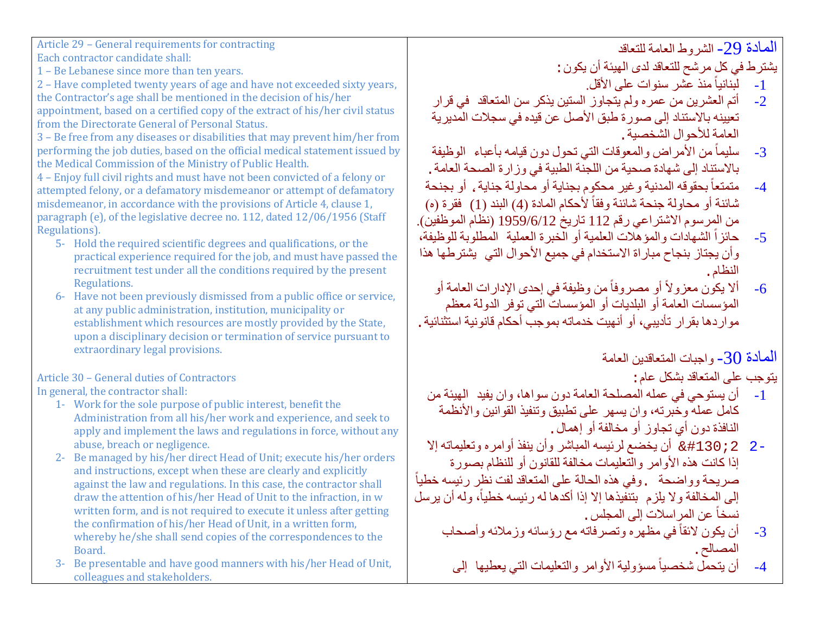Article 29 – General requirements for contracting Each contractor candidate shall:

1 – Be Lebanese since more than ten years.

2 – Have completed twenty years of age and have not exceeded sixty years, the Contractor's age shall be mentioned in the decision of his/her appointment, based on a certified copy of the extract of his/her civil status from the Directorate General of Personal Status.

3 – Be free from any diseases or disabilities that may prevent him/her from performing the job duties, based on the official medical statement issued by the Medical Commission of the Ministry of Public Health.

4 – Enjoy full civil rights and must have not been convicted of a felony or attempted felony, or a defamatory misdemeanor or attempt of defamatory misdemeanor, in accordance with the provisions of Article 4, clause 1, paragraph (e), of the legislative decree no. 112, dated 12/06/1956 (Staff Regulations).

- 5- Hold the required scientific degrees and qualifications, or the practical experience required for the job, and must have passed the recruitment test under all the conditions required by the present Regulations.
- 6- Have not been previously dismissed from a public office or service, at any public administration, institution, municipality or establishment which resources are mostly provided by the State, upon a disciplinary decision or termination of service pursuant to extraordinary legal provisions.

Article 30 – General duties of Contractors In general, the contractor shall:

- 1- Work for the sole purpose of public interest, benefit the Administration from all his/her work and experience, and seek to apply and implement the laws and regulations in force, without any abuse, breach or negligence.
- 2- Be managed by his/her direct Head of Unit; execute his/her orders and instructions, except when these are clearly and explicitly against the law and regulations. In this case, the contractor shall draw the attention of his/her Head of Unit to the infraction, in w written form, and is not required to execute it unless after getting the confirmation of his/her Head of Unit, in a written form, whereby he/she shall send copies of the correspondences to the Board.
- 3- Be presentable and have good manners with his/her Head of Unit, colleagues and stakeholders.

المادة -29 الشروط العامة للتعاقد

یشترط في كل مرشح للتعاقد لدى الھیئة أن یكون:

- ً منذ عشر سنوات على الأقل. -1 لبنانیا
- -2 أتم العشرین من عمره ولم یتجاوز الستین یذكر سن المتعاقد في قرار تعیینھ بالاستناد إلى صورة طبق الأصل عن قیده في سجلات المدیریة العامة للأحوال الشخصیة.
- 3- سليماً من الأمراض والمعوقات التي تحول دون قيامه بأعباء الوظيفة بالاستناد إلى شھادة صحیة من اللجنة الطبیة في وزارة الصحة العامة.
- ً بحقوقھ المدنیة وغیر محكوم بجنایة أو محاولة جنایة، أو بجنحة -4 متمتعا شائنة أو محاولة جنحة شائنة وفقاً لأحكام المادة (4) البند (1) فقر ة (ه) من المرسوم الاشتراعي رقم 112 تاریخ 1959/6/12 (نظام الموظفین).
- 5- حائزاً الشهادات والمؤهّلات العلمية أو الّخبرة العملية المُطلوبة للوظيفة، وأن یجتاز بنجاح مباراة الاستخدام في جمیع الأحوال التي یشترطھا ھذا النظام.
- 6- ألا يكون معزولأ أو مصروفاً من وظيفة في إحدى الإدارات العامة أو المؤسسات العامة أو البلدیات أو المؤسسات التي توفر الدولة معظم مواردھا بقرار تأدیبي، أو أنھیت خدماتھ بموجب أحكام قانونیة استثنائیة.

المعادة 30- واجبات المتعاقدین العامة

يتوجب على المتعاقد بشكل عام :<br>1- أن بستوجه في عمله الم

- -1 أن یستوحي في عملھ المصلحة العامة دون سواھا، وان یفید الھیئة من كامل عملھ وخبرتھ، وان یسھر على تطبیق وتنفیذ القوانین والأنظمة النافذة دون أي تجاوز أو مخالفة أو إھمال.
- 2- 2;#130& أن یخضع لرئیسھ المباشر وأن ینفذ أوامره وتعلیماتھ إلا إذا كانت ھذه الأوامر والتعلیمات مخالفة للقانون أو للنظام بصورة ً صریحة وواضحة .وفي ھذه الحالة على المتعاقد لفت نظر رئیسھ خطیا إلى المخالفة ولا يلزم بتنفيذها إلا إذا أكدها له رئيسه خطياً، وله أن يرسل نسخاً عن المر اسلات إلى المجلس
	- 3- أن يكون لائقاً في مظهر ه وتصرفاته مع رؤسائه وزملائه وأصحاب المصالح.

4- أن يتحمل شخصياً مسؤولية الأوامر والتعليمات التي يعطيها إلى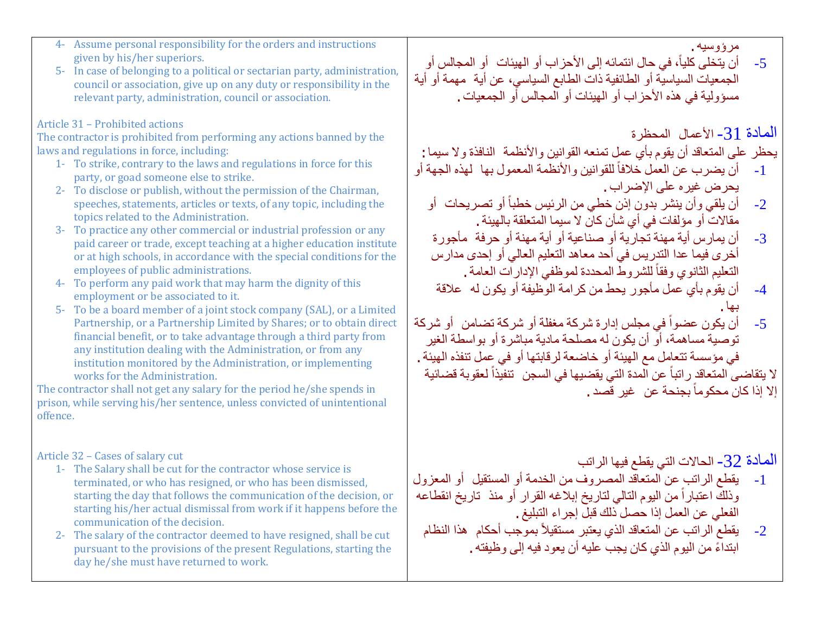- 4- Assume personal responsibility for the orders and instructions given by his/her superiors.
- 5- In case of belonging to a political or sectarian party, administration, council or association, give up on any duty or responsibility in the relevant party, administration, council or association.

### Article 31 – Prohibited actions

The contractor is prohibited from performing any actions banned by the laws and regulations in force, including:

- 1- To strike, contrary to the laws and regulations in force for this party, or goad someone else to strike.
- 2- To disclose or publish, without the permission of the Chairman, speeches, statements, articles or texts, of any topic, including the topics related to the Administration.
- 3- To practice any other commercial or industrial profession or any paid career or trade, except teaching at a higher education institute or at high schools, in accordance with the special conditions for the employees of public administrations.
- 4- To perform any paid work that may harm the dignity of this employment or be associated to it.
- 5- To be a board member of a joint stock company (SAL), or a Limited Partnership, or a Partnership Limited by Shares; or to obtain direct financial benefit, or to take advantage through a third party from any institution dealing with the Administration, or from any institution monitored by the Administration, or implementing works for the Administration.

The contractor shall not get any salary for the period he/she spends in prison, while serving his/her sentence, unless convicted of unintentional offence.

### Article 32 – Cases of salary cut

- 1- The Salary shall be cut for the contractor whose service is terminated, or who has resigned, or who has been dismissed, starting the day that follows the communication of the decision, or starting his/her actual dismissal from work if it happens before the communication of the decision.
- 2- The salary of the contractor deemed to have resigned, shall be cut pursuant to the provisions of the present Regulations, starting the day he/she must have returned to work.

5- أن يتخلى كلياً، في حال انتمائه إلى الأحزاب أو الميئات أو المجالس أو الجمعیات السیاسیة أو الطائفیة ذات الطابع السیاسي، عن أیة مھمة أو أیة مسؤولیة في ھذه الأحزاب أو الھیئات أو المجالس أو الجمعیات.

# المادة -31 الأعمال المحظرة

مرؤوسیھ.

یحظر على المتعاقد أن یقوم بأي عمل تمنعھ القوانین والأنظمة النافذة ولا سیما:

- 1- أن يضرب عن العمل خلافاً للقوانين والأنظمة المعمول بها لهذه الجهة أو یحرض غیره على الإضراب.
	- 2- أن يلقي وأن ينشر بدون إذن خطي من الرئيس خطباً أو تصريحات أو مقالات أو مؤلفات في أي شأن كان لا سیما المتعلقة بالھیئة.
	- 3- أن یمارس أیة مهنة تجاریة أو صناعیة أو أیة مهنة أو حرفة مأجورة أخرى فیما عدا التدریس في أحد معاھد التعلیم العالي أو إحدى مدارس التعليم الثانوي وفقاً للشروط المحددة لموظفي الإدارات العامة .
	- -4 أن یقوم بأي عمل مأجور یحط من كرامة الوظیفة أو یكون لھ علاقة بھا.
- 5- أن يكون عضواً في مجلس إدارة شركة مغفلة أو شركة تضامن أو شركة توصیة مساھمة، أو أن یكون لھ مصلحة مادیة مباشرة أو بواسطة الغیر في مؤسسة تتعامل مع الھیئة أو خاضعة لرقابتھا أو في عمل تنفذه الھیئة.

لا يتقاضى المتعاقد راتباً عن المدة التي يقضيها في السجن تنفيذاً لعقوبة قضائية الا إذا كان محكوماً بجنحة عن غير قصد .

المادة -32 الحالات التي یقطع فیھا الراتب

- -1 یقطع الراتب عن المتعاقد المصروف من الخدمة أو المستقیل أو المعزول وذلك اعتباراً من اليوم التالي لتاريخ إبلاغه القرار أو منذ تاريخ انقطاعه الفعلي عن العمل إذا حصل ذلك قبل إجراء التبلیغ.
	- 2- يقطع الراتب عن المتعاقد الذي يعتبر مستقيلاً بموجب أحكام هذا النظام ً ابتداء من الیوم الذي كان یجب علیھ أن یعود فیھ إلى وظیفتھ.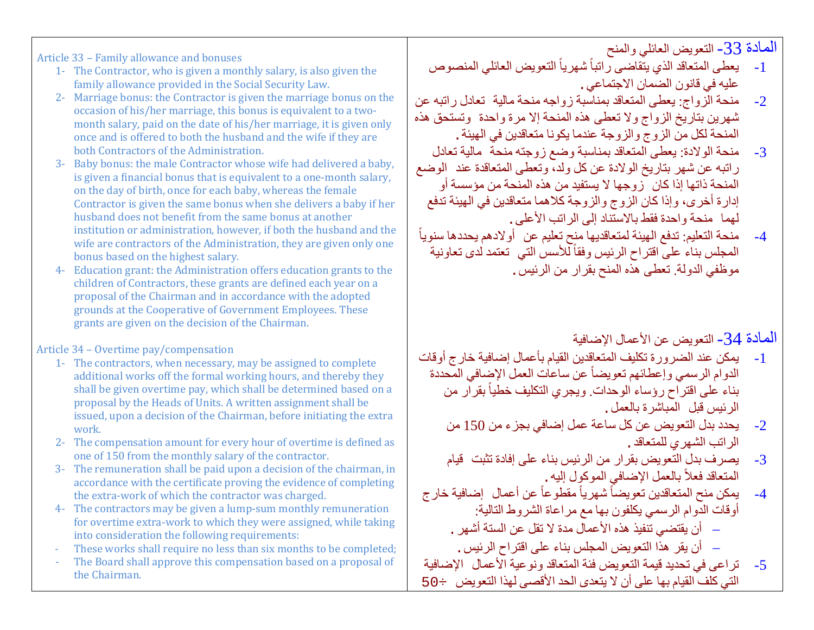المادة -33 التعویض العائلي والمنح

- 1- يعطي المتعاقد الذي يتقاضىي راتباً شهرياً التعويض العائلي المنصوص علیھ في قانون الضمان الاجتماعي.
- -2 منحة الزواج: یعطى المتعاقد بمناسبة زواجھ منحة مالیة تعادل راتبھ عن شھرین بتاریخ الزواج ولا تعطى ھذه المنحة إلا مرة واحدة وتستحق ھذه المنحة لكل من الزوج والزوجة عندما یكونا متعاقدین في الھیئة.
- -3 منحة الولادة: یعطى المتعاقد بمناسبة وضع زوجتھ منحة مالیة تعادل راتبھ عن شھر بتاریخ الولادة عن كل ولد، وتعطى المتعاقدة عند الوضع المنحة ذاتھا إذا كان زوجھا لا یستفید من ھذه المنحة من مؤسسة أو إدارة أخرى، وإذا كان الزوج والزوجة كلاھما متعاقدین في الھیئة تدفع لھما منحة واحدة فقط بالاستناد إلى الراتب الأعلى.
- ֧֖֖֖֖֧֚֚֚֚֚֚֚֚֚֚֚֚֚֚֚֚֚֝<u>֚</u><br>֧֪֚֝ -4 منحة التعلیم: تدفع الھیئة لمتعاقدیھا منح تعلیم عن أولادھم یحددھا سنویا المجلس بناء على اقتراح الرئيس وفقاً للأسس التي تعتمد لدى تعاونية موظفي الدولة. تعطى ھذه المنح بقرار من الرئیس.

المادة -34 التعویض عن الأعمال الإضافیة

- -1 یمكن عند الضرورة تكلیف المتعاقدین القیام بأعمال إضافیة خارج أوقات الدوام الرسمي وإعطائهم تعويضاً عن ساعات العمل الإضافي المحددة بناء على اقتراح رؤساء الوحدات ويجري التكليف خطياً بقرار من الرئیس قبل المباشرة بالعمل.
	- -2 یحدد بدل التعویض عن كل ساعة عمل إضافي بجزء من 150 من الراتب الشھري للمتعاقد.
	- -3 یصرف بدل التعویض بقرار من الرئیس بناء على إفادة تثبت قیام المتعاقد فعلاً بالعمل الإضافي الموكوٍل إليه .<sub>.</sub>
- 4- يمكن منح المتعاقدين تعويضاً شهرياً مقطوعاً عن أعمال إضافية خار ج أوقات الدوام الرسمي یكلفون بھا مع مراعاة الشروط التالیة:
	- − أن یقتضي تنفیذ ھذه الأعمال مدة لا تقل عن الستة أشھر.
		- − أن یقر ھذا التعویض المجلس بناء على اقتراح الرئیس.
- -5 تراعى في تحدید قیمة التعویض فئة المتعاقد ونوعیة الأعمال الإضافیة التي كلف القیام بھا على أن لا یتعدى الحد الأقصى لھذا التعویض ÷50

Article 33 – Family allowance and bonuses

- 1- The Contractor, who is given a monthly salary, is also given the family allowance provided in the Social Security Law.
- 2- Marriage bonus: the Contractor is given the marriage bonus on the occasion of his/her marriage, this bonus is equivalent to a twomonth salary, paid on the date of his/her marriage, it is given only once and is offered to both the husband and the wife if they are both Contractors of the Administration.
- 3- Baby bonus: the male Contractor whose wife had delivered a baby, is given a financial bonus that is equivalent to a one-month salary, on the day of birth, once for each baby, whereas the female Contractor is given the same bonus when she delivers a baby if her husband does not benefit from the same bonus at another institution or administration, however, if both the husband and the wife are contractors of the Administration, they are given only one bonus based on the highest salary.
- 4- Education grant: the Administration offers education grants to the children of Contractors, these grants are defined each year on a proposal of the Chairman and in accordance with the adopted grounds at the Cooperative of Government Employees. These grants are given on the decision of the Chairman.

Article 34 – Overtime pay/compensation

- 1- The contractors, when necessary, may be assigned to complete additional works off the formal working hours, and thereby they shall be given overtime pay, which shall be determined based on a proposal by the Heads of Units. A written assignment shall be issued, upon a decision of the Chairman, before initiating the extra work.
- 2- The compensation amount for every hour of overtime is defined as one of 150 from the monthly salary of the contractor.
- 3- The remuneration shall be paid upon a decision of the chairman, in accordance with the certificate proving the evidence of completing the extra-work of which the contractor was charged.
- 4- The contractors may be given a lump-sum monthly remuneration for overtime extra-work to which they were assigned, while taking into consideration the following requirements:
- These works shall require no less than six months to be completed;
- The Board shall approve this compensation based on a proposal of the Chairman.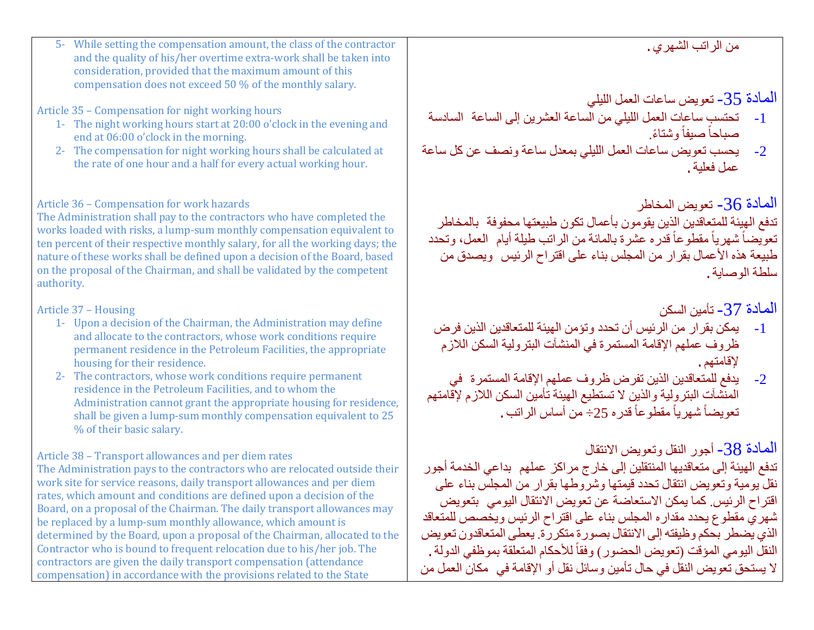| 5- While setting the compensation amount, the class of the contractor<br>and the quality of his/her overtime extra-work shall be taken into<br>consideration, provided that the maximum amount of this<br>compensation does not exceed 50 % of the monthly salary.<br>Article 35 - Compensation for night working hours<br>1- The night working hours start at 20:00 o'clock in the evening and<br>end at 06:00 o'clock in the morning.<br>2- The compensation for night working hours shall be calculated at<br>the rate of one hour and a half for every actual working hour.                                                                                                                                                         | من الراتب الشهري .<br>المادة 35- تعويض ساعات العمل الليلي<br>تحتسب ساعات العمل الليلي من الساعة العشرين إلى الساعة  السادسة<br>$-1$<br>صباحاً صيفاً وشتاءً.<br>يحسب تعويض ساعات العمل الليلي بمعدل ساعة ونصف عن كل ساعة<br>$-2$<br>عمل فعلبة .                                                                                                                                                                                                                                                                                                                                      |
|-----------------------------------------------------------------------------------------------------------------------------------------------------------------------------------------------------------------------------------------------------------------------------------------------------------------------------------------------------------------------------------------------------------------------------------------------------------------------------------------------------------------------------------------------------------------------------------------------------------------------------------------------------------------------------------------------------------------------------------------|-------------------------------------------------------------------------------------------------------------------------------------------------------------------------------------------------------------------------------------------------------------------------------------------------------------------------------------------------------------------------------------------------------------------------------------------------------------------------------------------------------------------------------------------------------------------------------------|
| Article 36 - Compensation for work hazards<br>The Administration shall pay to the contractors who have completed the<br>works loaded with risks, a lump-sum monthly compensation equivalent to<br>ten percent of their respective monthly salary, for all the working days; the<br>nature of these works shall be defined upon a decision of the Board, based<br>on the proposal of the Chairman, and shall be validated by the competent<br>authority.                                                                                                                                                                                                                                                                                 | المادة 36- تعويض المخاطر<br>تدفع الهيئة للمتعاقدين الذين يقومون بأعمال تكون طبيعتها محفوفة  بالمخاطر<br>تعوِّيضاً شهرياً مقطوعاً قدره عشرة بالمائة من الراتب طيلة أيام  العمل، وتحدد<br>طبيعة هذه الأعمال بقرار من المجلس بناء على اقتراح الرئيس ويصدق من<br>سلطة الوصابة .                                                                                                                                                                                                                                                                                                         |
| Article 37 - Housing<br>1- Upon a decision of the Chairman, the Administration may define<br>and allocate to the contractors, whose work conditions require<br>permanent residence in the Petroleum Facilities, the appropriate<br>housing for their residence.<br>2- The contractors, whose work conditions require permanent<br>residence in the Petroleum Facilities, and to whom the<br>Administration cannot grant the appropriate housing for residence,<br>shall be given a lump-sum monthly compensation equivalent to 25<br>% of their basic salary.                                                                                                                                                                           | المادة 37- تأمين السكن<br>يمكن بقرار من الرئيس أن تحدد وتؤمن الهيئة للمتعاقدين الذين فرض<br>$-1$<br>ظروف عملهم الإقامة المستمرة في المنشآت البترولية السكن اللازم<br>لإقامتهم .<br>يدفع للمتعاقدين الذين تفرض ظروف عملهم الإقامة المستمرة  في<br>المنشآتِ البتروِلية والذين لا تستطيع الهيئة تأمين السكن اللازم لإقامتهم<br>$-2$<br>تعويضاً شهرياً مقطوعاً قدره 25÷ من أساس الراتب .                                                                                                                                                                                                |
| Article 38 - Transport allowances and per diem rates<br>The Administration pays to the contractors who are relocated outside their<br>work site for service reasons, daily transport allowances and per diem<br>rates, which amount and conditions are defined upon a decision of the<br>Board, on a proposal of the Chairman. The daily transport allowances may<br>be replaced by a lump-sum monthly allowance, which amount is<br>determined by the Board, upon a proposal of the Chairman, allocated to the<br>Contractor who is bound to frequent relocation due to his/her job. The<br>contractors are given the daily transport compensation (attendance<br>compensation) in accordance with the provisions related to the State | المعادة 38- أجور النقل وتعويض الانتقال<br>تدفع الـهيئة إلـى متعاقديها المنتقلين إلـى خار ج مر اكز  عملـهم  بداعي الـخدمة أجور<br>نقل يومية وتعويض انتقال تحدد قيمتها وشروطها بقرار من المجلس بناء على<br>اقتراح الرئيس كما يمكن الاستعاضة عن تعويض الانتقال اليومي  بتعويض<br>شهري مقطوع يحدد مقداره المجلس بناء على اقتراح الرئيس ويخصص للمتعاقد<br>الذي يضطر بحكم وظيفته إلى الانتقال بصورة متكررة يعطى المتعاقدون تعويض<br>النقل اليومي المؤقت (تعويض الحضور) وفقاً للأحكام المتعلقة بموظفى الدولة .<br>لا يستحق تعويض النقل في حال تأمين وسائل نقل أو الإقامة في  مكان العمل من |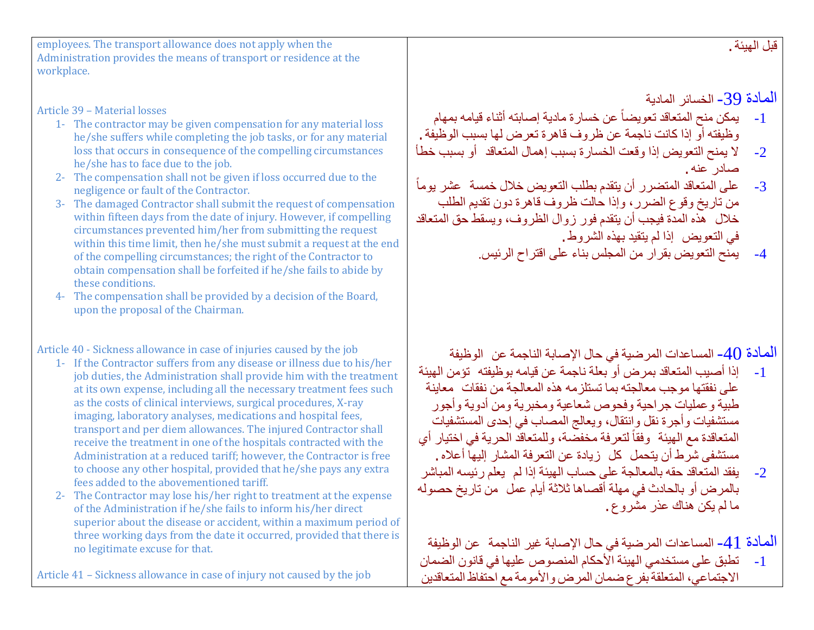| employees. The transport allowance does not apply when the<br>Administration provides the means of transport or residence at the<br>workplace.                                                                                                                                                                                                                                                                                                                                                                                                                                                                                                                                                                                                                                                                                                                                                                                                                                 | قبل الهيئة .                                                                                                                                                                                                                                                                                                                                                                                                                                                                                                                                                                                                                                                                |
|--------------------------------------------------------------------------------------------------------------------------------------------------------------------------------------------------------------------------------------------------------------------------------------------------------------------------------------------------------------------------------------------------------------------------------------------------------------------------------------------------------------------------------------------------------------------------------------------------------------------------------------------------------------------------------------------------------------------------------------------------------------------------------------------------------------------------------------------------------------------------------------------------------------------------------------------------------------------------------|-----------------------------------------------------------------------------------------------------------------------------------------------------------------------------------------------------------------------------------------------------------------------------------------------------------------------------------------------------------------------------------------------------------------------------------------------------------------------------------------------------------------------------------------------------------------------------------------------------------------------------------------------------------------------------|
| Article 39 - Material losses<br>1- The contractor may be given compensation for any material loss<br>he/she suffers while completing the job tasks, or for any material<br>loss that occurs in consequence of the compelling circumstances<br>he/she has to face due to the job.<br>2- The compensation shall not be given if loss occurred due to the<br>negligence or fault of the Contractor.<br>3- The damaged Contractor shall submit the request of compensation<br>within fifteen days from the date of injury. However, if compelling<br>circumstances prevented him/her from submitting the request<br>within this time limit, then he/she must submit a request at the end<br>of the compelling circumstances; the right of the Contractor to<br>obtain compensation shall be forfeited if he/she fails to abide by<br>these conditions.<br>4- The compensation shall be provided by a decision of the Board,<br>upon the proposal of the Chairman.                  | المادة 39- الخسائر المادية<br>يمكن منح المتعاقد تعويضاً عن خسارة مادية إصابته أثناء قيامه بمهام<br>$-1$<br>وظيفته أو إذا كانت ناجمة عن ظروف قاهرة تعرض لها بسبب الوظيفة .<br>لا يمنح التعويض إذا وقعت الخسارة بسبب إهمال المتعاقد أو بسبب خطأ<br>$-2$<br>صادر عنه.<br>على المتعاقد المتضرر أن يتقدم بطلب التعويض خلال خمسة عشر يوماً<br>$-3$<br>من تاريخ وقوع الضرر، وإذا حالت ظروف قاهرة دون تقديم الطلب<br>خلال هذه المدة فيجب أن يتقدم فور زوال الظروف، ويسقط حق المتعاقد<br>في التعويض إذا لم يتقيد بهذه الشروط.<br>يمنح التعويض بقرار من المجلس بناء على اقتراح الرئيس<br>$-4$                                                                                         |
| Article 40 - Sickness allowance in case of injuries caused by the job<br>1- If the Contractor suffers from any disease or illness due to his/her<br>job duties, the Administration shall provide him with the treatment<br>at its own expense, including all the necessary treatment fees such<br>as the costs of clinical interviews, surgical procedures, X-ray<br>imaging, laboratory analyses, medications and hospital fees,<br>transport and per diem allowances. The injured Contractor shall<br>receive the treatment in one of the hospitals contracted with the<br>Administration at a reduced tariff; however, the Contractor is free<br>to choose any other hospital, provided that he/she pays any extra<br>fees added to the abovementioned tariff.<br>The Contractor may lose his/her right to treatment at the expense<br>of the Administration if he/she fails to inform his/her direct<br>superior about the disease or accident, within a maximum period of | المادة 40- المساعدات المرضية في حال الإصابة الناجمة عن  الوظيفة<br>إذا أصبيب المتعاقد بمرض أو بعلة ناجمة عن قيامه بوظيفته  تؤمن الهيئة<br>$-1$<br>على نفقتها موجب معالجته بما تستلزمه هذه المعالجة من نفقات معاينة<br>طبية وعمليات جراحية وفحوص شعاعية ومخبرية ومن أدوية وأجور<br>مستشفيات وأجرة نقل وانتقال، ويعالج المصـاب في إحدى المستشفيات<br>المتعاقدة مع الهيئة وفقاً لتعرفة مخفضة، وللمتعاقد الحرية في اختيار أي<br>مستشفى شرط أن يتحمل كل  زيادة عن التعرفة المشار إليها أعلاه .<br>يفقد المتعاقد حقه بالمعالجة على حساب الهيئة إذا لم يعلم رئيسه المباشر<br>$-2$<br>بالمرض أو بالحادث في مهلة أقصاها ثلاثة أيام عمل ٍ من تاريخ حصوله<br>ما لم يكن هناك عذر مشروع. |
| three working days from the date it occurred, provided that there is<br>no legitimate excuse for that.<br>Article 41 – Sickness allowance in case of injury not caused by the job                                                                                                                                                                                                                                                                                                                                                                                                                                                                                                                                                                                                                                                                                                                                                                                              | المادة 41- المساعدات المرضية في حال الإصابة غير الناجمة  عن الوظيفة<br>تطبق على مستخدمي الهيئة الأحكام المنصوص عليها في قانون الضمان<br>$-1$<br>الاجتماعي، المتعلقة بفرع ضمان المرض والأمومة مع احتفاظ المتعاقدين                                                                                                                                                                                                                                                                                                                                                                                                                                                           |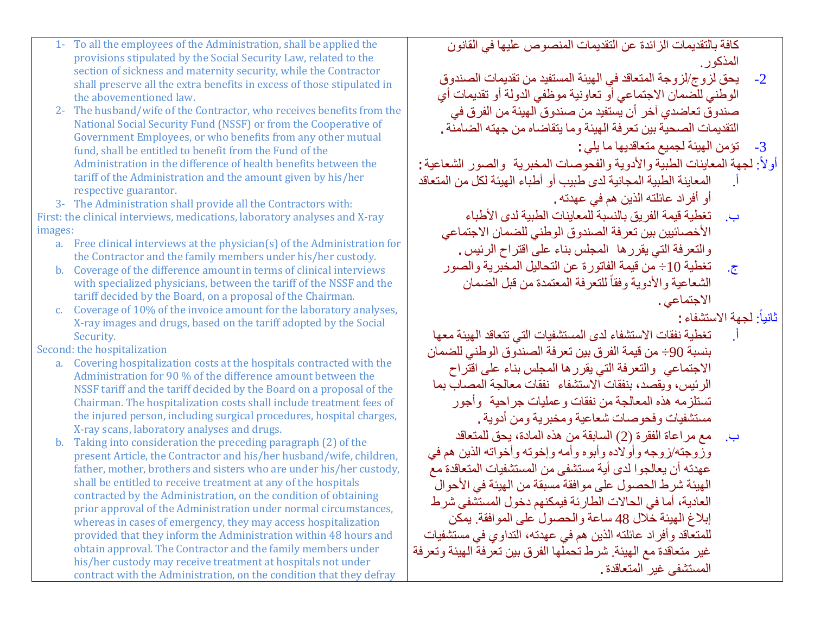كافة بالتقدیمات الزائدة عن التقدیمات المنصوص علیھا في القانون المذكور.

- -2 یحق لزوج/لزوجة المتعاقد في الھیئة المستفید من تقدیمات الصندوق الوطني للضمان الاجتماعي أو تعاونیة موظفي الدولة أو تقدیمات أي صندوق تعاضدي آخر أن یستفید من صندوق الھیئة من الفرق في التقدیمات الصحیة بین تعرفة الھیئة وما یتقاضاه من جھتھ الضامنة.
	- -3 تؤمن الھیئة لجمیع متعاقدیھا ما یلي:

:ً لجھة المعاینات الطبیة والأدویة والفحوصات المخبریة والصور الشعاعیة: أولا

- أ. المعاینة الطبیة المجانیة لدى طبیب أو أطباء الھیئة لكل من المتعاقد أو أفراد عائلتھ الذین ھم في عھدتھ.
	- ب. تغطیة قیمة الفریق بالنسبة للمعاینات الطبیة لدى الأطباء الأخصائیین بین تعرفة الصندوق الوطني للضمان الاجتماعي والتعرفة التي یقررھا المجلس بناء على اقتراح الرئیس.
	- ج. تغطیة 10÷ من قیمة الفاتورة عن التحالیل المخبریة والصور الشعاعية والأدوية وفقأ للتعرفة المعتمدة من قبل الضمان الاجتماعي.

ثانیاً لجهة الاستشفاء:

- أ. تغطیة نفقات الاستشفاء لدى المستشفیات التي تتعاقد الھیئة معھا بنسبة 90÷ من قیمة الفرق بین تعرفة الصندوق الوطني للضمان الاجتماعي والتعرفة التي یقررھا المجلس بناء على اقتراح الرئیس، ویقصد، بنفقات الاستشفاء نفقات معالجة المصاب بما تستلزمھ ھذه المعالجة من نفقات وعملیات جراحیة وأجور مستشفیات وفحوصات شعاعیة ومخبریة ومن أدویة.
- ب. مع مراعاة الفقرة (2) السابقة من ھذه المادة، یحق للمتعاقد وزوجتھ/زوجھ وأولاده وأبوه وأمھ وإخوتھ وأخواتھ الذین ھم في عھدتھ أن یعالجوا لدى أیة مستشفى من المستشفیات المتعاقدة مع الھیئة شرط الحصول على موافقة مسبقة من الھیئة في الأحوال العادیة، أما في الحالات الطارئة فیمكنھم دخول المستشفى شرط إبلاغ الھیئة خلال 48 ساعة والحصول على الموافقة. یمكن للمتعاقد وأفراد عائلتھ الذین ھم في عھدتھ، التداوي في مستشفیات غیر متعاقدة مع الھیئة. شرط تحملھا الفرق بین تعرفة الھیئة وتعرفة المستشفى غیر المتعاقدة.
- 1- To all the employees of the Administration, shall be applied the provisions stipulated by the Social Security Law, related to the section of sickness and maternity security, while the Contractor shall preserve all the extra benefits in excess of those stipulated in the abovementioned law.
- 2- The husband/wife of the Contractor, who receives benefits from the National Social Security Fund (NSSF) or from the Cooperative of Government Employees, or who benefits from any other mutual fund, shall be entitled to benefit from the Fund of the Administration in the difference of health benefits between the tariff of the Administration and the amount given by his/her respective guarantor.

3- The Administration shall provide all the Contractors with: First: the clinical interviews, medications, laboratory analyses and X-ray images:

- a. Free clinical interviews at the physician(s) of the Administration for the Contractor and the family members under his/her custody.
- b. Coverage of the difference amount in terms of clinical interviews with specialized physicians, between the tariff of the NSSF and the tariff decided by the Board, on a proposal of the Chairman.
- c. Coverage of 10% of the invoice amount for the laboratory analyses, X-ray images and drugs, based on the tariff adopted by the Social Security.

Second: the hospitalization

- a. Covering hospitalization costs at the hospitals contracted with the Administration for 90 % of the difference amount between the NSSF tariff and the tariff decided by the Board on a proposal of the Chairman. The hospitalization costs shall include treatment fees of the injured person, including surgical procedures, hospital charges, X-ray scans, laboratory analyses and drugs.
- b. Taking into consideration the preceding paragraph (2) of the present Article, the Contractor and his/her husband/wife, children, father, mother, brothers and sisters who are under his/her custody, shall be entitled to receive treatment at any of the hospitals contracted by the Administration, on the condition of obtaining prior approval of the Administration under normal circumstances, whereas in cases of emergency, they may access hospitalization provided that they inform the Administration within 48 hours and obtain approval. The Contractor and the family members under his/her custody may receive treatment at hospitals not under contract with the Administration, on the condition that they defray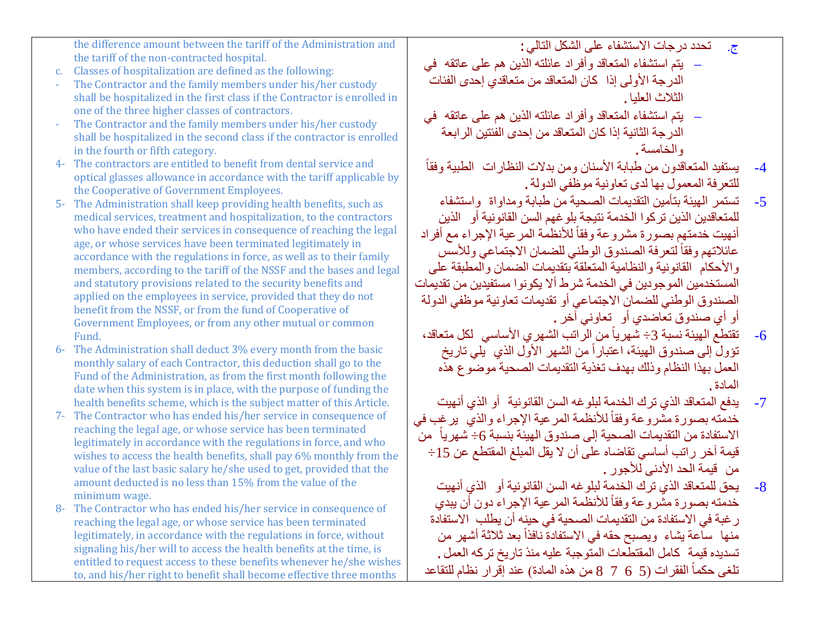|      | <u>ule uliterelice alliquiti between the tariif of the Aufhinisti ation allu</u>                                                        | - تحدد در جات الاستشفاء على السكل الثالي :<br>$\cdot$ . $\sim$        |      |
|------|-----------------------------------------------------------------------------------------------------------------------------------------|-----------------------------------------------------------------------|------|
|      | the tariff of the non-contracted hospital.                                                                                              | –  يتم استشفاء المتعاقد وأفراد عائلته الذين هم على عاتقه  في          |      |
| c.   | Classes of hospitalization are defined as the following:                                                                                | الدرجة الأولى إذا كان المتعاقد من متعاقدي إحدى الفئات                 |      |
|      | The Contractor and the family members under his/her custody                                                                             |                                                                       |      |
|      | shall be hospitalized in the first class if the Contractor is enrolled in                                                               | الثلاث العلبا .                                                       |      |
|      | one of the three higher classes of contractors.                                                                                         | –  يتم استشفاء المتعاقد وأفراد عائلته الذين هم على عاتقه  في          |      |
|      | The Contractor and the family members under his/her custody                                                                             | الدرجة الثانية إذا كان المتعاقد من إحدى الفئتين الرابعة               |      |
|      | shall be hospitalized in the second class if the contractor is enrolled                                                                 |                                                                       |      |
|      | in the fourth or fifth category.                                                                                                        | والخامسة.                                                             |      |
| 4-   | The contractors are entitled to benefit from dental service and                                                                         | يستفيد المتعاقدون من طبابة الأسنان ومن بدلات النظارات الطبية وفقاً    | $-4$ |
|      | optical glasses allowance in accordance with the tariff applicable by                                                                   | للتعرفة المعمول بها لدى تعاونية موظفى الدولة .                        |      |
|      | the Cooperative of Government Employees.                                                                                                | تستمر الهيئة بتأمين التقديمات الصحية من طبابة ومداواة واستشفاء        | $-5$ |
| 5-   | The Administration shall keep providing health benefits, such as<br>medical services, treatment and hospitalization, to the contractors |                                                                       |      |
|      | who have ended their services in consequence of reaching the legal                                                                      | للمتعاقدين الذين تركوا الخدمة نتيجة بلو غهم السن القانونية أو   الذين |      |
|      | age, or whose services have been terminated legitimately in                                                                             | أنهيت خدمتهم بصورة مشروعة وفقاً للأنظمة المرعية الإجراء مع أفراد      |      |
|      | accordance with the regulations in force, as well as to their family                                                                    | عائلاتهم وفقأ لتعرفة الصندوق الوطني للضمان الاجتماعي وللأسس           |      |
|      | members, according to the tariff of the NSSF and the bases and legal                                                                    | والأحكام القانونية والنظامية المتعلقة بتقديمات الضمان والمطبقة على    |      |
|      | and statutory provisions related to the security benefits and                                                                           | المستخدمين الموجودين في الخدمة شرط ألا يكونوا مستفيدين من تقديمات     |      |
|      | applied on the employees in service, provided that they do not                                                                          |                                                                       |      |
|      | benefit from the NSSF, or from the fund of Cooperative of                                                                               | الصندوق الوطني للضمان الاجتماعي أو تقديمات تعاونية موظفي الدولة       |      |
|      | Government Employees, or from any other mutual or common                                                                                | أو أي صندوق تعاضدي أو   تعاوني آخر .                                  |      |
|      | Fund.                                                                                                                                   | تقتطع الهيئة نسبة 3÷ شهرياً من الراتب الشهري الأساسي  لكل متعاقد،     | $-6$ |
| $6-$ | The Administration shall deduct 3% every month from the basic                                                                           | تؤول إلى صندوق الهيئة، اعتباراً من الشهر الأول الذي ۖ يلي تاريخ       |      |
|      | monthly salary of each Contractor, this deduction shall go to the                                                                       | العمل بهذا النظام وذلك بهدف تغذية التقديمات الصحية موضوع هذه          |      |
|      | Fund of the Administration, as from the first month following the                                                                       |                                                                       |      |
|      | date when this system is in place, with the purpose of funding the                                                                      | المادة                                                                |      |
|      | health benefits scheme, which is the subject matter of this Article.                                                                    | يدفع المتعاقد الذي ترك الخدمة لبلو غه السن القانونية  أو الذي أنهيت   | $-7$ |
| 7-   | The Contractor who has ended his/her service in consequence of                                                                          | خدمته بصورة مشروعة وفقاً للأنظمة المرعية الإجراء والذي يرغب في        |      |
|      | reaching the legal age, or whose service has been terminated                                                                            | الاستفادة من التقديمات الصحية إلى صندوق الهيئة بنسبة 6– شهرياً من     |      |
|      | legitimately in accordance with the regulations in force, and who                                                                       | قيمة آخر راتب أساسي تقاضاه على أن لا يقل المبلغ المقتطع عن 15÷        |      |
|      | wishes to access the health benefits, shall pay 6% monthly from the                                                                     | من قيمة الحد الأدنى للأجور .                                          |      |
|      | value of the last basic salary he/she used to get, provided that the<br>amount deducted is no less than 15% from the value of the       |                                                                       |      |
|      |                                                                                                                                         |                                                                       |      |

the difference amount between the tariff of the Administration and

8- The Contractor who has ended his/her service in consequence of reaching the legal age, or whose service has been terminated legitimately, in accordance with the regulations in force, without signaling his/her will to access the health benefits at the time, is entitled to request access to these benefits whenever he/she wishes to, and his/her right to benefit shall become effective three months

minimum wage.

-8 یحق للمتعاقد الذي ترك الخدمة لبلوغھ السن القانونیة أو الذي أنھیت خدمته بصورة مشّروعة وفقاً للأنظمة المرعية الإجراء دون أن يبدي رغبة في الاستفادة من التقدیمات الصحیة في حینھ أن یطلب الاستفادة منها ساعة يشاء ويصبح حقه في الاستفادة نافذاً بعد ثلاثة أشهر من تسدیده قیمة كامل المقتطعات المتوجبة علیھ منذ تاریخ تركھ العمل. تلغى حكماً الفقرات (5 6 7 7 8 من هذه المادة) عند إقرار نظام للتقاعد

ج. تحدد درجات الاستشفاء على الشكل التالي: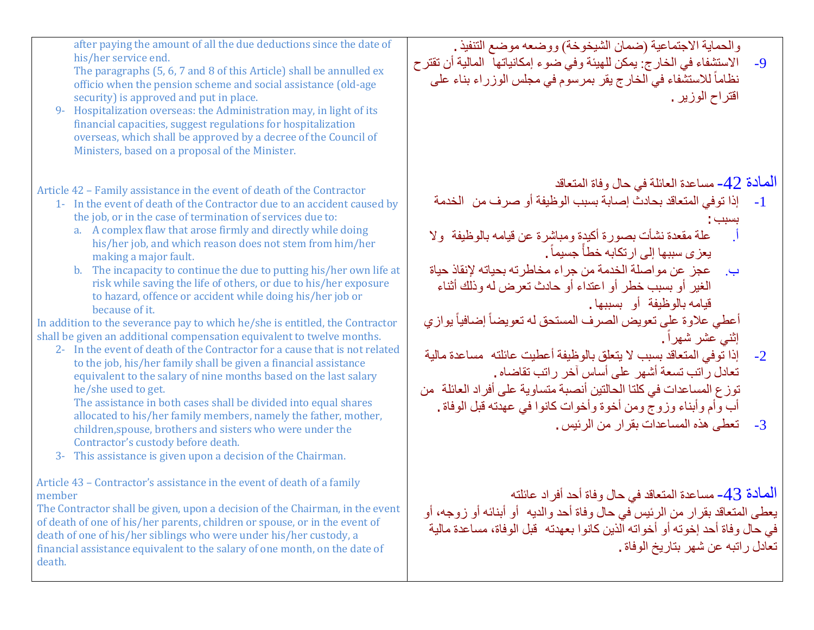| after paying the amount of all the due deductions since the date of<br>his/her service end.<br>The paragraphs (5, 6, 7 and 8 of this Article) shall be annulled ex<br>officio when the pension scheme and social assistance (old-age<br>security) is approved and put in place.<br>9- Hospitalization overseas: the Administration may, in light of its<br>financial capacities, suggest regulations for hospitalization<br>overseas, which shall be approved by a decree of the Council of<br>Ministers, based on a proposal of the Minister.                                                                                                                                                                                                                                                                                                                                                                                                                                                                                                                                                                                                                                                                                                                                                                  | والحماية الاجتماعية (ضمان الشيخوخة) ووضعه موضع التنفيذ .<br>الاستشفاء في الخارج: يمكن للهيئة وفي ضوء إمكانياتها  المالية أن تقتر ح<br>$-9$<br>نظاماً للاستشفاء في الخارج يقر بمرسوم في مجلس الوزراء بناء على<br>اقتراح الوزير .                                                                                                                                                                                                                                                                                                                                                                                                                                                                                                                                                             |
|-----------------------------------------------------------------------------------------------------------------------------------------------------------------------------------------------------------------------------------------------------------------------------------------------------------------------------------------------------------------------------------------------------------------------------------------------------------------------------------------------------------------------------------------------------------------------------------------------------------------------------------------------------------------------------------------------------------------------------------------------------------------------------------------------------------------------------------------------------------------------------------------------------------------------------------------------------------------------------------------------------------------------------------------------------------------------------------------------------------------------------------------------------------------------------------------------------------------------------------------------------------------------------------------------------------------|---------------------------------------------------------------------------------------------------------------------------------------------------------------------------------------------------------------------------------------------------------------------------------------------------------------------------------------------------------------------------------------------------------------------------------------------------------------------------------------------------------------------------------------------------------------------------------------------------------------------------------------------------------------------------------------------------------------------------------------------------------------------------------------------|
| Article 42 - Family assistance in the event of death of the Contractor<br>1- In the event of death of the Contractor due to an accident caused by<br>the job, or in the case of termination of services due to:<br>a. A complex flaw that arose firmly and directly while doing<br>his/her job, and which reason does not stem from him/her<br>making a major fault.<br>b. The incapacity to continue the due to putting his/her own life at<br>risk while saving the life of others, or due to his/her exposure<br>to hazard, offence or accident while doing his/her job or<br>because of it.<br>In addition to the severance pay to which he/she is entitled, the Contractor<br>shall be given an additional compensation equivalent to twelve months.<br>2- In the event of death of the Contractor for a cause that is not related<br>to the job, his/her family shall be given a financial assistance<br>equivalent to the salary of nine months based on the last salary<br>he/she used to get.<br>The assistance in both cases shall be divided into equal shares<br>allocated to his/her family members, namely the father, mother,<br>children, spouse, brothers and sisters who were under the<br>Contractor's custody before death.<br>3- This assistance is given upon a decision of the Chairman. | المعادة 42- مساعدة العائلة في حال وفاة المتعاقد<br>إذا توفي المتعاقد بحادث إصابة بسبب الوظيفة أو صرف من الخدمة<br>$-1$<br>علة مقعدة نشأت بصورة أكيدة ومباشرة عن قيامه بالوظيفة ۖ ولا<br>يعز ي سببها إلى ارتكابه خطأ جسيماً .<br>عجز عن مواصلة الخدمة من جراء مخاطرته بحياته لإنقاذ حياة<br>الغير أو بسبب خطر أو اعتداء أو حادث تعرض له وذلك أثناء<br>قيامه بالوظيفة أو بسببها.<br>أعطي علاوة على تعويض الصرف المستحق له تعويضاً إضافياً يوازي<br>إثني عشر شهراً .<br>إذا توفي المتعاقد بسبب لا يتعلق بالوظيفة أعطيت عائلته  مساعدة مالية<br>$-2$<br>تعادل راتب تسعة أشهر على أساس آخر راتب تقاضاه .<br>توز ع المساعدات في كلتا الحالتين أنصبة متساوية على أفراد العائلة من<br>أب وأم وأبناء وزوج ومن أخوة وأخوات كانوا في عهدته قبل الوفاة .<br>3-     تعطي هذه المساعدات بقرار من الرئيس . |
| Article 43 - Contractor's assistance in the event of death of a family<br>member<br>The Contractor shall be given, upon a decision of the Chairman, in the event<br>of death of one of his/her parents, children or spouse, or in the event of<br>death of one of his/her siblings who were under his/her custody, a<br>financial assistance equivalent to the salary of one month, on the date of<br>death.                                                                                                                                                                                                                                                                                                                                                                                                                                                                                                                                                                                                                                                                                                                                                                                                                                                                                                    | الْمَادة 43- مساعدة المتعاقد في حال وفاة أحد أفراد عائلته<br>يعطي المتعاقد بقرار من الرئيس في حال وفاة أحد والديه ۖ أو أبنائه أو زوجه، أو<br>في حال وفاة أحد إخوته أو أخواته الذين كانوا بعهدته   قبل الوفاة، مساعدة مالية<br>تعادل راتبه عن شهر بتاريخ الوفاة .                                                                                                                                                                                                                                                                                                                                                                                                                                                                                                                            |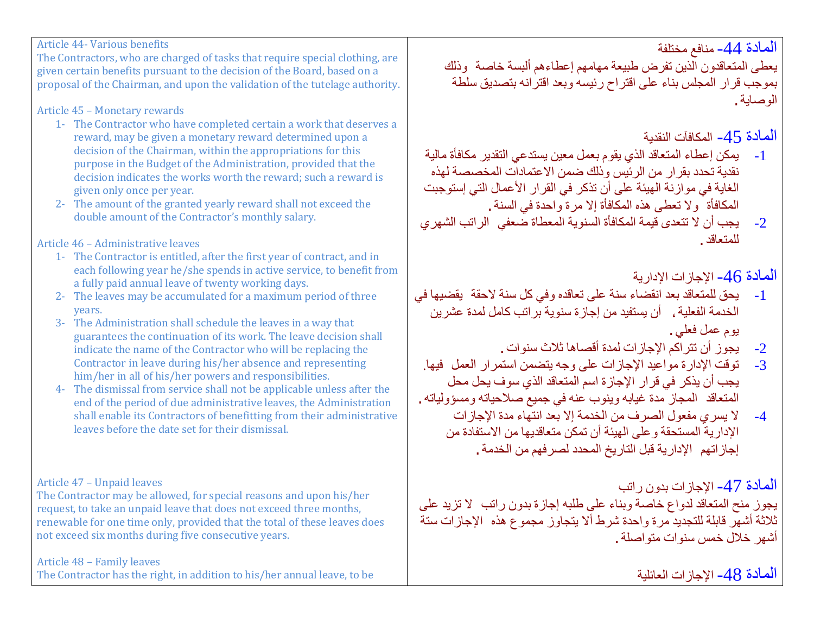المادة -44 منافع مختلفة

یعطى المتعاقدون الذین تفرض طبیعة مھامھم إعطاءھم ألبسة خاصة وذلك بموجب قرار المجلس بناء على اقتراح رئیسھ وبعد اقترانھ بتصدیق سلطة الوصایة.

المادة -45 المكافآت النقدیة

- -1 یمكن إعطاء المتعاقد الذي یقوم بعمل معین یستدعي التقدیر مكافأة مالیة نقدیة تحدد بقرار من الرئیس وذلك ضمن الاعتمادات المخصصة لھذه الغایة في موازنة الھیئة على أن تذكر في القرار الأعمال التي إستوجبت المكافأة ولا تعطى ھذه المكافأة إلا مرة واحدة في السنة.
- -2 یجب أن لا تتعدى قیمة المكافأة السنویة المعطاة ضعفي الراتب الشھري للمتعاقد.

المادة 46- الإجاز ات الإدارية  $\pm$ 

- -1 یحق للمتعاقد بعد انقضاء سنة على تعاقده وفي كل سنة لاحقة یقضیھا في الخدمة الفعلیة، أن یستفید من إجازة سنویة براتب كامل لمدة عشرین یوم عمل فعلي.
	- 2- يجوز أن تتراكم الإجازات لمدة أقصاها ثلاث سنوات .<br>3- تو قت الإدار ة مو اعدد الإجاز ات على و حه بتضمن استم
- توقت الإدار ة مو اعید الإجاز ات على وجه یتضمن استمر ار العمل فیها. یجب أن یذكر في قرار الإجازة اسم المتعاقد الذي سوف یحل محل المتعاقد المجاز مدة غیابھ وینوب عنھ في جمیع صلاحیاتھ ومسؤولیاتھ.
	- -4 لا یسري مفعول الصرف من الخدمة إلا بعد انتھاء مدة الإجازات الإداریة المستحقة وعلى الھیئة أن تمكن متعاقدیھا من الاستفادة من إجازاتھم الإداریة قبل التاریخ المحدد لصرفھم من الخدمة.

المادة 47- الإجاز ات بدون راتب

یجوز منح المتعاقد لدواع خاصة وبناء على طلبھ إجازة بدون راتب لا تزید على ثلاثة أشھر قابلة للتجدید مرة واحدة شرط ألا یتجاوز مجموع ھذه الإجازات ستة أشھر خلال خمس سنوات متواصلة.

الممادة 48– الإجاز ات العائلية

Article 44- Various benefits

The Contractors, who are charged of tasks that require special clothing, are given certain benefits pursuant to the decision of the Board, based on a proposal of the Chairman, and upon the validation of the tutelage authority.

Article 45 – Monetary rewards

- 1- The Contractor who have completed certain a work that deserves a reward, may be given a monetary reward determined upon a decision of the Chairman, within the appropriations for this purpose in the Budget of the Administration, provided that the decision indicates the works worth the reward; such a reward is given only once per year.
- 2- The amount of the granted yearly reward shall not exceed the double amount of the Contractor's monthly salary.

Article 46 – Administrative leaves

- 1- The Contractor is entitled, after the first year of contract, and in each following year he/she spends in active service, to benefit from a fully paid annual leave of twenty working days.
- 2- The leaves may be accumulated for a maximum period of three years.
- 3- The Administration shall schedule the leaves in a way that guarantees the continuation of its work. The leave decision shall indicate the name of the Contractor who will be replacing the Contractor in leave during his/her absence and representing him/her in all of his/her powers and responsibilities.
- 4- The dismissal from service shall not be applicable unless after the end of the period of due administrative leaves, the Administration shall enable its Contractors of benefitting from their administrative leaves before the date set for their dismissal.

# Article 47 – Unpaid leaves

The Contractor may be allowed, for special reasons and upon his/her request, to take an unpaid leave that does not exceed three months, renewable for one time only, provided that the total of these leaves does not exceed six months during five consecutive years.

Article 48 – Family leaves

The Contractor has the right, in addition to his/her annual leave, to be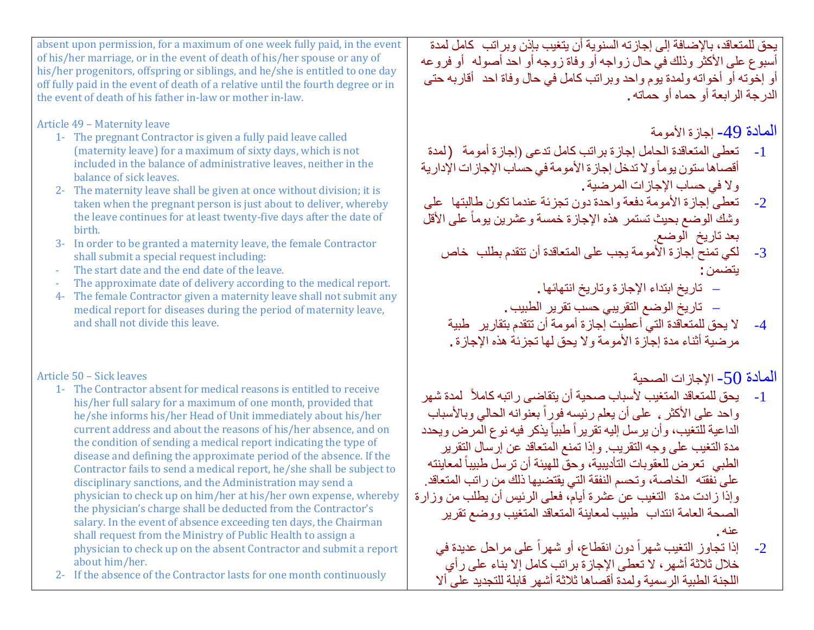یحق للمتعاقد، بالإضافة إلى إجازتھ السنویة أن یتغیب بإذن وبراتب كامل لمدة أسبوع على الأكثر وذلك في حال زواجھ أو وفاة زوجھ أو احد أصولھ أو فروعھ أو إخوتھ أو أخواتھ ولمدة یوم واحد وبراتب كامل في حال وفاة احد أقاربھ حتى الدرجة الرابعة أو حماه أو حماتھ.

المادة 49- إجازة الأمومة

- -1 تعطى المتعاقدة الحامل إجازة براتب كامل تدعى (إجازة أمومة (لمدة أقصـاها ستون يوماً و لا تدخل إجازة الأمومة في حساب الإجاز ات الإدارية ولا في حساب الإجازات المرضیة.
- -2 تعطى إجازة الأمومة دفعة واحدة دون تجزئة عندما تكون طالبتھا على وشك الوضع بحيث تستمر هذه الإجازة خمسة و عشرين يوماً على الأقل بعد تاریخ الوضع.
	- -3 لكي تمنح إجازة الأمومة یجب على المتعاقدة أن تتقدم بطلب خاص یتضمن:
		- − تاریخ ابتداء الإجازة وتاریخ انتھائھا.
		- − تاریخ الوضع التقریبي حسب تقریر الطبیب.
		- -4 لا یحق للمتعاقدة التي أعطیت إجازة أمومة أن تتقدم بتقاریر طبیة مرضیة أثناء مدة إجازة الأمومة ولا یحق لھا تجزئة ھذه الإجازة.

المادة 50- الإجاز ات الصحبة $\sim$ 

- ً لمدة شھر -1 یحق للمتعاقد المتغیب لأسباب صحیة أن یتقاضى راتبھ كاملا واحد على الأكثر ، على أن يعلم رئيسه فورٍ أ بعنوانه الحالي وبالأسباب الداعية للتغيب، وأن يرسل إليه تقريراً طبياً يذكر فيه نوع المرض ويحدد مدة التغیب على وجھ التقریب. وإذا تمنع المتعاقد عن إرسال التقریر الطبي تعرض للعقوبات التأديبية، وحقّ للهيئة أن ترسل طبيباً لمعاينته على نفقتھ الخاصة، وتحسم النفقة التي یقتضیھا ذلك من راتب المتعاقد. وإذا زادت مدة التغیب عن عشرة أیام، فعلى الرئیس أن یطلب من وزارة الصحة العامة انتداب طبیب لمعاینة المتعاقد المتغیب ووضع تقریر عنھ.
	- 2- إذا تجاوز التغيب شهراً دون انقطاع، أو شهراً على مراحل عديدة في خلال ثلاثة أشھر، لا تعطى الإجازة براتب كامل إلا بناء على رأي اللجنة الطبیة الرسمیة ولمدة أقصاھا ثلاثة أشھر قابلة للتجدید على ألا

absent upon permission, for a maximum of one week fully paid, in the event of his/her marriage, or in the event of death of his/her spouse or any of his/her progenitors, offspring or siblings, and he/she is entitled to one day off fully paid in the event of death of a relative until the fourth degree or in the event of death of his father in-law or mother in-law.

Article 49 – Maternity leave

- 1- The pregnant Contractor is given a fully paid leave called (maternity leave) for a maximum of sixty days, which is not included in the balance of administrative leaves, neither in the balance of sick leaves.
- 2- The maternity leave shall be given at once without division; it is taken when the pregnant person is just about to deliver, whereby the leave continues for at least twenty-five days after the date of birth.
- 3- In order to be granted a maternity leave, the female Contractor shall submit a special request including:
- The start date and the end date of the leave.
- The approximate date of delivery according to the medical report.
- 4- The female Contractor given a maternity leave shall not submit any medical report for diseases during the period of maternity leave, and shall not divide this leave.

Article 50 – Sick leaves

- 1- The Contractor absent for medical reasons is entitled to receive his/her full salary for a maximum of one month, provided that he/she informs his/her Head of Unit immediately about his/her current address and about the reasons of his/her absence, and on the condition of sending a medical report indicating the type of disease and defining the approximate period of the absence. If the Contractor fails to send a medical report, he/she shall be subject to disciplinary sanctions, and the Administration may send a physician to check up on him/her at his/her own expense, whereby the physician's charge shall be deducted from the Contractor's salary. In the event of absence exceeding ten days, the Chairman shall request from the Ministry of Public Health to assign a physician to check up on the absent Contractor and submit a report about him/her.
- 2- If the absence of the Contractor lasts for one month continuously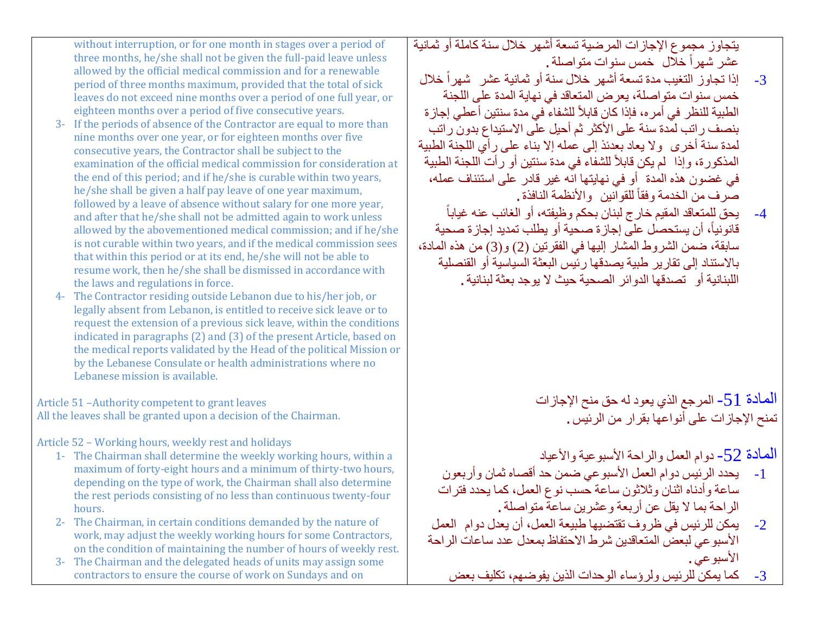یتجاوز مجموع الإجازات المرضیة تسعة أشھر خلال سنة كاملة أو ثمانیة عشر شهر اً خلال خمس سنوات متواصلة .

- 3- إذا تجاوز التغيب مدة تسعة أشهر خلال سنة أو ثمانية عشر شهراً خلال خمس سنوات متواصلة، یعرض المتعاقد في نھایة المدة على اللجنة الطبية للنظر في أمر ه، فإذا كان قابلاً للشفاء في مدة سنتين أعطي إجازة بنصف راتب لمدة سنة على الأكثر ثم أحیل على الاستیداع بدون راتب لمدة سنة أخرى ولا یعاد بعدئذ إلى عملھ إلا بناء على رأي اللجنة الطبیة المذكورة، وإذا لم يكن قابلاً للشفاء في مدة سنتين أو رأت اللجنة الطبية في غضون ھذه المدة أو في نھایتھا انھ غیر قادر على استئناف عملھ، صر ف من الخدمة و فقاً للقو انین و الأنظمة النافذة .
- -4 یحق للمتعاقد المقیم خارج لبنان بحكم وظیفتھ، أو الغائب عنھ غیابا قانو نياً، أن يستحصل على إجاز ة صحية أو يطلب تمديد إجاز ة صحية سابقة، ضمن الشروط المشار إلیھا في الفقرتین (2) و(3) من ھذه المادة، بالاستناد إلى تقاریر طبیة یصدقھا رئیس البعثة السیاسیة أو القنصلیة اللبنانیة أو تصدقھا الدوائر الصحیة حیث لا یوجد بعثة لبنانیة.

الممادة 51- المرجع الذي يعود له حق منح الإجازات<br>تمنح الإجازات على أنواعها بقرار من الرئيس .

المادة -52 دوام العمل والراحة الأسبوعیة والأعیاد

- -1 یحدد الرئیس دوام العمل الأسبوعي ضمن حد أقصاه ثمان وأربعون ساعة وأدناه اثنان وثلاثون ساعة حسب نوع العمل، كما یحدد فترات الراحة بما لا یقل عن أربعة وعشرین ساعة متواصلة.
- -2 یمكن للرئیس في ظروف تقتضیھا طبیعة العمل، أن یعدل دوام العمل الأسبوعي لبعض المتعاقدین شرط الاحتفاظ بمعدل عدد ساعات الراحة الأسبوعي.
	- -3 كما یمكن للرئیس ولرؤساء الوحدات الذین یفوضھم، تكلیف بعض

without interruption, or for one month in stages over a period of three months, he/she shall not be given the full-paid leave unless allowed by the official medical commission and for a renewable period of three months maximum, provided that the total of sick leaves do not exceed nine months over a period of one full year, or eighteen months over a period of five consecutive years.

- 3- If the periods of absence of the Contractor are equal to more than nine months over one year, or for eighteen months over five consecutive years, the Contractor shall be subject to the examination of the official medical commission for consideration at the end of this period; and if he/she is curable within two years, he/she shall be given a half pay leave of one year maximum, followed by a leave of absence without salary for one more year, and after that he/she shall not be admitted again to work unless allowed by the abovementioned medical commission; and if he/she is not curable within two years, and if the medical commission sees that within this period or at its end, he/she will not be able to resume work, then he/she shall be dismissed in accordance with the laws and regulations in force.
- 4- The Contractor residing outside Lebanon due to his/her job, or legally absent from Lebanon, is entitled to receive sick leave or to request the extension of a previous sick leave, within the conditions indicated in paragraphs (2) and (3) of the present Article, based on the medical reports validated by the Head of the political Mission or by the Lebanese Consulate or health administrations where no Lebanese mission is available.

Article 51 –Authority competent to grant leaves All the leaves shall be granted upon a decision of the Chairman.

Article 52 – Working hours, weekly rest and holidays

- 1- The Chairman shall determine the weekly working hours, within a maximum of forty-eight hours and a minimum of thirty-two hours, depending on the type of work, the Chairman shall also determine the rest periods consisting of no less than continuous twenty-four hours.
- 2- The Chairman, in certain conditions demanded by the nature of work, may adjust the weekly working hours for some Contractors, on the condition of maintaining the number of hours of weekly rest.
- 3- The Chairman and the delegated heads of units may assign some contractors to ensure the course of work on Sundays and on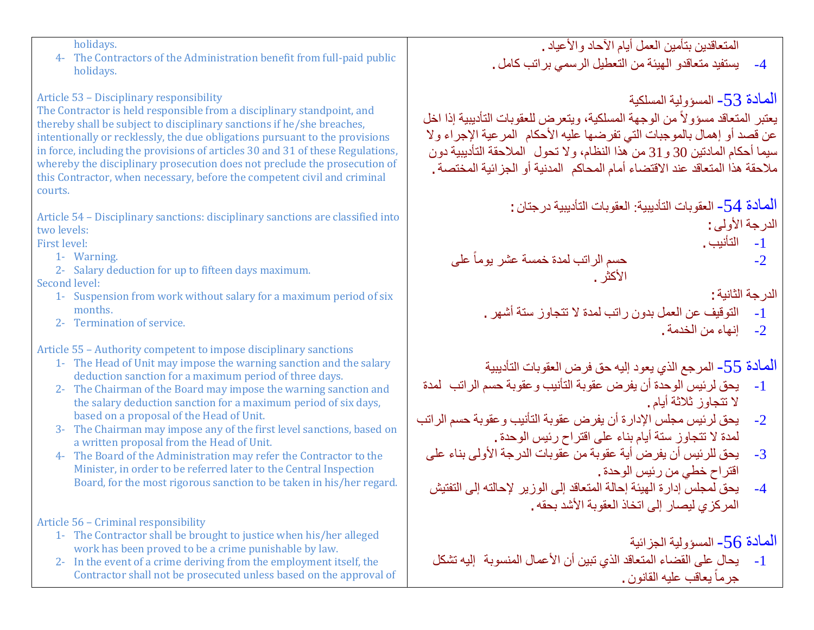holidays.

4- The Contractors of the Administration benefit from full-paid public holidays.

## Article 53 – Disciplinary responsibility

The Contractor is held responsible from a disciplinary standpoint, and thereby shall be subject to disciplinary sanctions if he/she breaches, intentionally or recklessly, the due obligations pursuant to the provisions in force, including the provisions of articles 30 and 31 of these Regulations, whereby the disciplinary prosecution does not preclude the prosecution of this Contractor, when necessary, before the competent civil and criminal courts.

Article 54 – Disciplinary sanctions: disciplinary sanctions are classified into two levels:

First level:

- 1- Warning.
- 2- Salary deduction for up to fifteen days maximum.

## Second level:

- 1- Suspension from work without salary for a maximum period of six months.
- 2- Termination of service.

Article 55 – Authority competent to impose disciplinary sanctions

- 1- The Head of Unit may impose the warning sanction and the salary deduction sanction for a maximum period of three days.
- 2- The Chairman of the Board may impose the warning sanction and the salary deduction sanction for a maximum period of six days, based on a proposal of the Head of Unit.
- 3- The Chairman may impose any of the first level sanctions, based on a written proposal from the Head of Unit.
- 4- The Board of the Administration may refer the Contractor to the Minister, in order to be referred later to the Central Inspection Board, for the most rigorous sanction to be taken in his/her regard.

Article 56 – Criminal responsibility

- 1- The Contractor shall be brought to justice when his/her alleged work has been proved to be a crime punishable by law.
- 2- In the event of a crime deriving from the employment itself, the Contractor shall not be prosecuted unless based on the approval of

-4 یستفید متعاقدو الھیئة من التعطیل الرسمي براتب كامل. المادة -53 المسؤولیة المسلكیة يعتبر المتعاقد مسؤولاً من الوجهة المسلكية، ويتعرض للعقوبات التأديبية إذا اخل عن قصد أو إھمال بالموجبات التي تفرضھا علیھ الأحكام المرعیة الإجراء ولا سیما أحكام المادتین 30 و31 من ھذا النظام، ولا تحول الملاحقة التأدیبیة دون ملاحقة ھذا المتعاقد عند الاقتضاء أمام المحاكم المدنیة أو الجزائیة المختصة.

> المادة -54 العقوبات التأدیبیة: العقوبات التأدیبیة درجتان: الدرجة الأولى:

المتعاقدین بتأمین العمل أیام الآحاد والأعیاد.

- -1 التأنیب.
- ً على -2 حسم الراتب لمدة خمسة عشر یوما الأكثر.

الدرجة الثانیة:

- -1 التوقیف عن العمل بدون راتب لمدة لا تتجاوز ستة أشھر.
	- -2 إنھاء من الخدمة.

المادة -55 المرجع الذي یعود إلیھ حق فرض العقوبات التأدیبیة

- -1 یحق لرئیس الوحدة أن یفرض عقوبة التأنیب وعقوبة حسم الراتب لمدة لا تتجاوز ثلاثة أیام.
- -2 یحق لرئیس مجلس الإدارة أن یفرض عقوبة التأنیب وعقوبة حسم الراتب لمدة لا تتجاوز ستة أیام بناء على اقتراح رئیس الوحدة.
	- -3 یحق للرئیس أن یفرض أیة عقوبة من عقوبات الدرجة الأولى بناء على اقتراح خطي من رئیس الوحدة.
	- -4 یحق لمجلس إدارة الھیئة إحالة المتعاقد إلى الوزیر لإحالتھ إلى التفتیش المركزي لیصار إلى اتخاذ العقوبة الأشد بحقھ.

المادة -56 المسؤولیة الجزائیة

-1 یحال على القضاء المتعاقد الذي تبین أن الأعمال المنسوبة إلیھ تشكل جرماً يعاقب عليه القانون .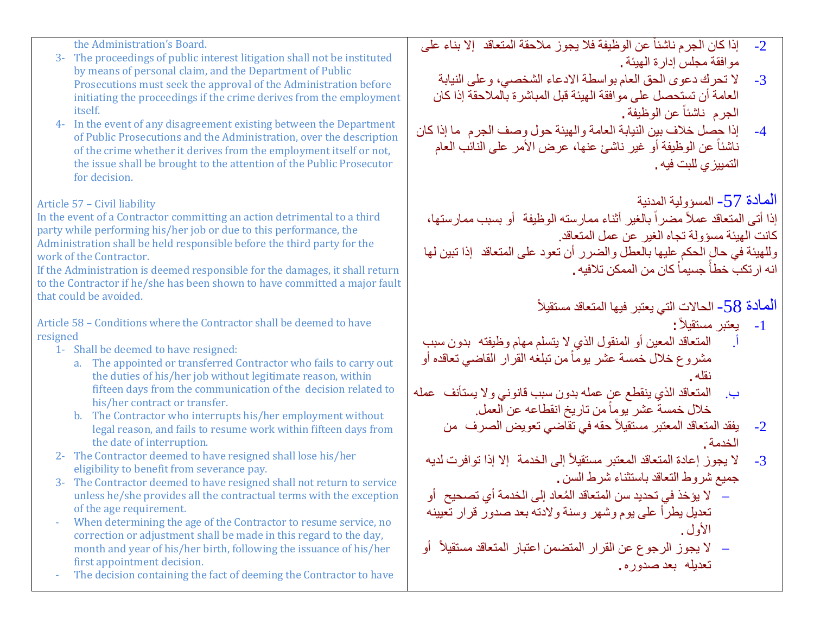the Administration's Board.

- 3- The proceedings of public interest litigation shall not be instituted by means of personal claim, and the Department of Public Prosecutions must seek the approval of the Administration before initiating the proceedings if the crime derives from the employment itself.
- 4- In the event of any disagreement existing between the Department of Public Prosecutions and the Administration, over the description of the crime whether it derives from the employment itself or not, the issue shall be brought to the attention of the Public Prosecutor for decision.

### Article 57 – Civil liability

In the event of a Contractor committing an action detrimental to a third party while performing his/her job or due to this performance, the Administration shall be held responsible before the third party for the work of the Contractor.

If the Administration is deemed responsible for the damages, it shall return to the Contractor if he/she has been shown to have committed a major fault that could be avoided.

Article 58 – Conditions where the Contractor shall be deemed to have resigned

- 1- Shall be deemed to have resigned:
	- a. The appointed or transferred Contractor who fails to carry out the duties of his/her job without legitimate reason, within fifteen days from the communication of the decision related to his/her contract or transfer.
	- b. The Contractor who interrupts his/her employment without legal reason, and fails to resume work within fifteen days from the date of interruption.
- 2- The Contractor deemed to have resigned shall lose his/her eligibility to benefit from severance pay.
- 3- The Contractor deemed to have resigned shall not return to service unless he/she provides all the contractual terms with the exception of the age requirement.
- When determining the age of the Contractor to resume service, no correction or adjustment shall be made in this regard to the day, month and year of his/her birth, following the issuance of his/her first appointment decision.
- The decision containing the fact of deeming the Contractor to have
- 2- إذا كان الجرم ناشئاً عن الوظيفة فلا يجوز ملاحقة المتعاقد إلا بناء على موافقة مجلس إدارة الھیئة.
	- -3 لا تحرك دعوى الحق العام بواسطة الادعاء الشخصي، وعلى النیابة العامة أن تستحصل على موافقة الھیئة قبل المباشرة بالملاحقة إذا كان الجر م ناشئاً عن الوظیفة .
- -4 إذا حصل خلاف بین النیابة العامة والھیئة حول وصف الجرم ما إذا كان ناشئاً عن الوظيفة أو غير ناشئ عنها، عرض الأمر على النائب العام التمییزي للبت فیھ.

المادة -57 المسؤولیة المدنیة

إذا أتى المتعاقد عملأ مضراً بالغير أثناء ممارسته الوظيفة ۖ أو بسبب ممارستها، كانت الھیئة مسؤولة تجاه الغیر عن عمل المتعاقد. وللھیئة في حال الحكم علیھا بالعطل والضرر أن تعود على المتعاقد إذا تبین لھا انـه ار تكبّ خطأً جسيماً كان من الممكن تلافيه .

> ً المادة 58- الحالات التي يعتبر فيها المتعاقد مستقيلاً

> > :ً -1 یعتبر مستقیلا

- أ. المتعاقد المعین أو المنقول الذي لا یتسلم مھام وظیفتھ بدون سبب مشروع خلال خمسة عشر يوماً من تبلغه القرار القاضي تعاقده أو نقلھ.
- ب. المتعاقد الذي ینقطع عن عملھ بدون سبب قانوني ولا یستأنف عملھ خلال خمسةً عشر يوماً من تاريخ انقطاعه عن العمل.
	- 2- يفقد المتعاقد المعتبر مستقيلاً حقه في تقاضي تعويض الصرف من الخدمة.
	- 3- لا يجوز إعادة المتعاقد المعتبر مستقيلاً إلى الخدمة إلا إذا توافرت لديه جمیع شروط التعاقد باستثناء شرط السن.
	- − ُ لا یؤخذ في تحدید سن المتعاقد المعاد إلى الخدمة أي تصحیح أو تعدیل یطرأ على یوم وشھر وسنة ولادتھ بعد صدور قرار تعیینھ الأول.
	- − لا يجوز الرجوع عن القرار المتضمن اعتبار المتعاقد مستقيلاً أو تعدیلھ بعد صدوره.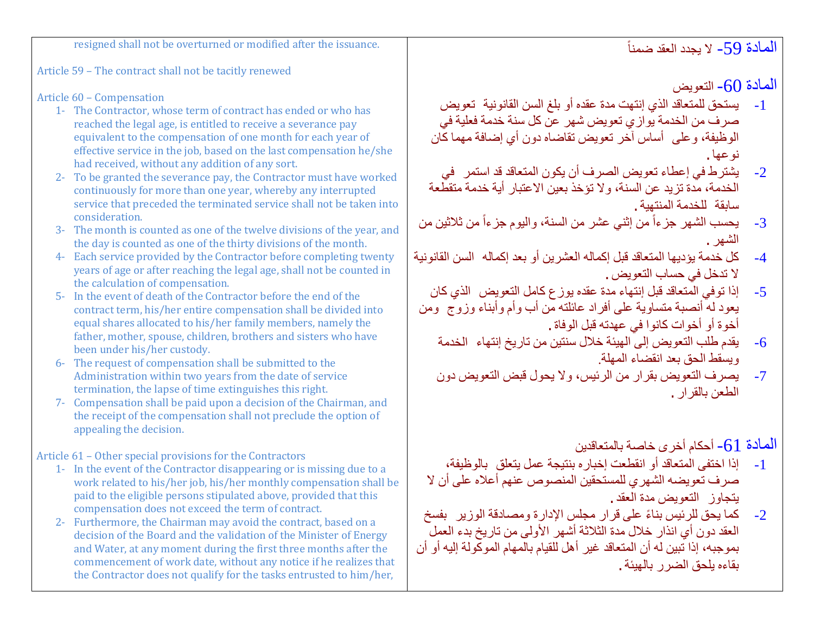resigned shall not be overturned or modified after the issuance.

Article 59 – The contract shall not be tacitly renewed

Article 60 – Compensation

- 1- The Contractor, whose term of contract has ended or who has reached the legal age, is entitled to receive a severance pay equivalent to the compensation of one month for each year of effective service in the job, based on the last compensation he/she had received, without any addition of any sort.
- 2- To be granted the severance pay, the Contractor must have worked continuously for more than one year, whereby any interrupted service that preceded the terminated service shall not be taken into consideration.
- 3- The month is counted as one of the twelve divisions of the year, and the day is counted as one of the thirty divisions of the month.
- 4- Each service provided by the Contractor before completing twenty years of age or after reaching the legal age, shall not be counted in the calculation of compensation.
- 5- In the event of death of the Contractor before the end of the contract term, his/her entire compensation shall be divided into equal shares allocated to his/her family members, namely the father, mother, spouse, children, brothers and sisters who have been under his/her custody.
- 6- The request of compensation shall be submitted to the Administration within two years from the date of service termination, the lapse of time extinguishes this right.
- 7- Compensation shall be paid upon a decision of the Chairman, and the receipt of the compensation shall not preclude the option of appealing the decision.

Article 61 – Other special provisions for the Contractors

- 1- In the event of the Contractor disappearing or is missing due to a work related to his/her job, his/her monthly compensation shall be paid to the eligible persons stipulated above, provided that this compensation does not exceed the term of contract.
- 2- Furthermore, the Chairman may avoid the contract, based on a decision of the Board and the validation of the Minister of Energy and Water, at any moment during the first three months after the commencement of work date, without any notice if he realizes that the Contractor does not qualify for the tasks entrusted to him/her,

المادة 60- التعویض

- -1 یستحق للمتعاقد الذي إنتھت مدة عقده أو بلغ السن القانونیة تعویض صرف من الخدمة یوازي تعویض شھر عن كل سنة خدمة فعلیة في الوظیفة، وعلى أساس آخر تعویض تقاضاه دون أي إضافة مھما كان نوعھا.
- -2 یشترط في إعطاء تعویض الصرف أن یكون المتعاقد قد استمر في الخدمة، مدة تزید عن السنة، ولا تؤخذ بعین الاعتبار أیة خدمة متقطعة سابقة للخدمة المنتھیة.
- 3- يحسب الشهر جزءاً من إثني عشر من السنة، واليوم جزءاً من ثلاثين من الشھر.
- -4 كل خدمة یؤدیھا المتعاقد قبل إكمالھ العشرین أو بعد إكمالھ السن القانونیة لا تدخل في حساب التعویض.
- -5 إذا توفي المتعاقد قبل إنتھاء مدة عقده یوزع كامل التعویض الذي كان یعود لھ أنصبة متساویة على أفراد عائلتھ من أب وأم وأبناء وزوج ومن أخوة أو أخوات كانوا في عھدتھ قبل الوفاة.
	- -6 یقدم طلب التعویض إلى الھیئة خلال سنتین من تاریخ إنتھاء الخدمة ویسقط الحق بعد انقضاء المھلة.
	- -7 یصرف التعویض بقرار من الرئیس، ولا یحول قبض التعویض دون الطعن بالقرار.

المادة  $-61$  أحكام أخرى خاصة بالمتعاقدين

- -1 إذا اختفى المتعاقد أو انقطعت إخباره بنتیجة عمل یتعلق بالوظیفة، صرف تعویضھ الشھري للمستحقین المنصوص عنھم أعلاه على أن لا یتجاوز التعویض مدة العقد.
- -2 ً كما یحق للرئیس بناء على قرار مجلس الإدارة ومصادقة الوزیر بفسخ العقد دون أي انذار خلال مدة الثلاثة أشھر الأولى من تاریخ بدء العمل بموجبھ، إذا تبین لھ أن المتعاقد غیر أھل للقیام بالمھام الموكولة إلیھ أو أن بقاءه یلحق الضرر بالھیئة.

الْمادة 59- لا يجدد العقد ضمناً